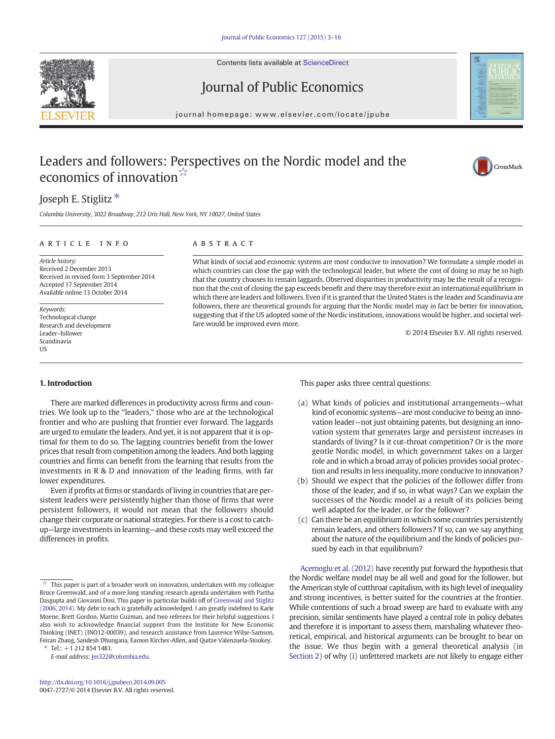Contents lists available at ScienceDirect





# Journal of Public Economics

journal homepage: www.elsevier.com/locate/jpube

# Leaders and followers: Perspectives on the Nordic model and the economics of innovation $\mathbb{X}$



# Joseph E. Stiglitz \*

Columbia University, 3022 Broadway, 212 Uris Hall, New York, NY 10027, United States

# article info abstract

Article history: Received 2 December 2013 Received in revised form 3 September 2014 Accepted 17 September 2014 Available online 13 October 2014

Keywords: Technological change Research and development Leader–follower Scandinavia US

What kinds of social and economic systems are most conducive to innovation? We formulate a simple model in which countries can close the gap with the technological leader, but where the cost of doing so may be so high that the country chooses to remain laggards. Observed disparities in productivity may be the result of a recognition that the cost of closing the gap exceeds benefit and there may therefore exist an international equilibrium in which there are leaders and followers. Even if it is granted that the United States is the leader and Scandinavia are followers, there are theoretical grounds for arguing that the Nordic model may in fact be better for innovation, suggesting that if the US adopted some of the Nordic institutions, innovations would be higher, and societal welfare would be improved even more.

© 2014 Elsevier B.V. All rights reserved.

# 1. Introduction

There are marked differences in productivity across firms and countries. We look up to the "leaders," those who are at the technological frontier and who are pushing that frontier ever forward. The laggards are urged to emulate the leaders. And yet, it is not apparent that it is optimal for them to do so. The lagging countries benefit from the lower prices that result from competition among the leaders. And both lagging countries and firms can benefit from the learning that results from the investments in R & D and innovation of the leading firms, with far lower expenditures.

Even if profits at firms or standards of living in countries that are persistent leaders were persistently higher than those of firms that were persistent followers, it would not mean that the followers should change their corporate or national strategies. For there is a cost to catchup—large investments in learning—and these costs may well exceed the differences in profits.

⁎ Tel.: +1 212 854 1481.

E-mail address: [Jes322@columbia.edu.](mailto:Jes322@columbia.edu)

This paper asks three central questions:

- (a) What kinds of policies and institutional arrangements—what kind of economic systems—are most conducive to being an innovation leader—not just obtaining patents, but designing an innovation system that generates large and persistent increases in standards of living? Is it cut-throat competition? Or is the more gentle Nordic model, in which government takes on a larger role and in which a broad array of policies provides social protection and results in less inequality, more conducive to innovation?
- (b) Should we expect that the policies of the follower differ from those of the leader, and if so, in what ways? Can we explain the successes of the Nordic model as a result of its policies being well adapted for the leader, or for the follower?
- (c) Can there be an equilibrium in which some countries persistently remain leaders, and others followers? If so, can we say anything about the nature of the equilibrium and the kinds of policies pursued by each in that equilibrium?

[Acemoglu et al. \(2012\)](#page-12-0) have recently put forward the hypothesis that the Nordic welfare model may be all well and good for the follower, but the American style of cutthroat capitalism, with its high level of inequality and strong incentives, is better suited for the countries at the frontier. While contentions of such a broad sweep are hard to evaluate with any precision, similar sentiments have played a central role in policy debates and therefore it is important to assess them, marshaling whatever theoretical, empirical, and historical arguments can be brought to bear on the issue. We thus begin with a general theoretical analysis (in [Section 2\)](#page-1-0) of why (i) unfettered markets are not likely to engage either

 $\overrightarrow{a}$  This paper is part of a broader work on innovation, undertaken with my colleague Bruce Greenwald, and of a more long standing research agenda undertaken with Partha Dasgupta and Giovanni Dosi. This paper in particular builds off of [Greenwald and Stiglitz](#page-12-0) [\(2006, 2014\).](#page-12-0) My debt to each is gratefully acknowledged. I am greatly indebted to Karle Moene, Brett Gordon, Martin Guzman, and two referees for their helpful suggestions. I also wish to acknowledge financial support from the Institute for New Economic Thinking (INET) (INO12-00039), and research assistance from Laurence Wilse-Samson, Feiran Zhang, Sandesh Dhungana, Eamon Kircher-Allen, and Quitze Valenzuela-Stookey.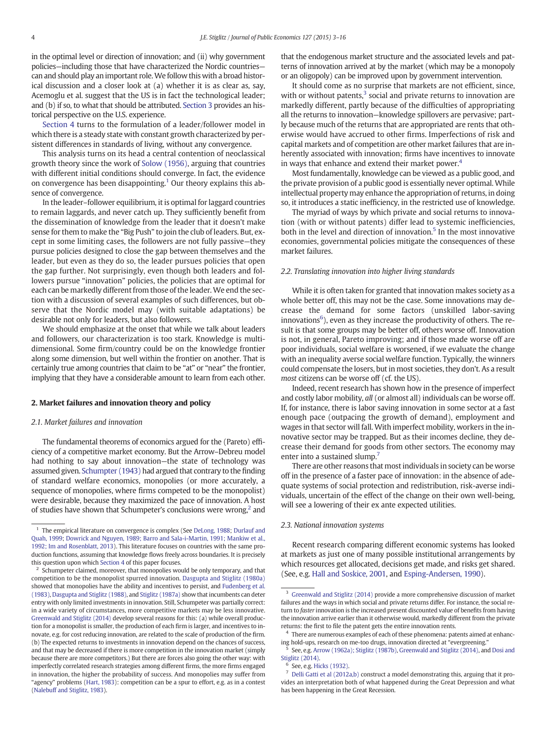<span id="page-1-0"></span>in the optimal level or direction of innovation; and (ii) why government policies—including those that have characterized the Nordic countries can and should play an important role.We follow this with a broad historical discussion and a closer look at (a) whether it is as clear as, say, Acemoglu et al. suggest that the US is in fact the technological leader; and (b) if so, to what that should be attributed. [Section 3](#page-5-0) provides an historical perspective on the U.S. experience.

[Section 4](#page-7-0) turns to the formulation of a leader/follower model in which there is a steady state with constant growth characterized by persistent differences in standards of living, without any convergence.

This analysis turns on its head a central contention of neoclassical growth theory since the work of [Solow \(1956\)](#page-13-0), arguing that countries with different initial conditions should converge. In fact, the evidence on convergence has been disappointing.<sup>1</sup> Our theory explains this absence of convergence.

In the leader–follower equilibrium, it is optimal for laggard countries to remain laggards, and never catch up. They sufficiently benefit from the dissemination of knowledge from the leader that it doesn't make sense for them to make the "Big Push" to join the club of leaders. But, except in some limiting cases, the followers are not fully passive—they pursue policies designed to close the gap between themselves and the leader, but even as they do so, the leader pursues policies that open the gap further. Not surprisingly, even though both leaders and followers pursue "innovation" policies, the policies that are optimal for each can be markedly different from those of the leader. We end the section with a discussion of several examples of such differences, but observe that the Nordic model may (with suitable adaptations) be desirable not only for leaders, but also followers.

We should emphasize at the onset that while we talk about leaders and followers, our characterization is too stark. Knowledge is multidimensional. Some firm/country could be on the knowledge frontier along some dimension, but well within the frontier on another. That is certainly true among countries that claim to be "at" or "near" the frontier, implying that they have a considerable amount to learn from each other.

## 2. Market failures and innovation theory and policy

#### 2.1. Market failures and innovation

The fundamental theorems of economics argued for the (Pareto) efficiency of a competitive market economy. But the Arrow–Debreu model had nothing to say about innovation—the state of technology was assumed given. [Schumpter \(1943\)](#page-13-0) had argued that contrary to the finding of standard welfare economics, monopolies (or more accurately, a sequence of monopolies, where firms competed to be the monopolist) were desirable, because they maximized the pace of innovation. A host of studies have shown that Schumpeter's conclusions were wrong,<sup>2</sup> and

that the endogenous market structure and the associated levels and patterns of innovation arrived at by the market (which may be a monopoly or an oligopoly) can be improved upon by government intervention.

It should come as no surprise that markets are not efficient, since, with or without patents, $3$  social and private returns to innovation are markedly different, partly because of the difficulties of appropriating all the returns to innovation—knowledge spillovers are pervasive; partly because much of the returns that are appropriated are rents that otherwise would have accrued to other firms. Imperfections of risk and capital markets and of competition are other market failures that are inherently associated with innovation; firms have incentives to innovate in ways that enhance and extend their market power. $4$ 

Most fundamentally, knowledge can be viewed as a public good, and the private provision of a public good is essentially never optimal. While intellectual property may enhance the appropriation of returns, in doing so, it introduces a static inefficiency, in the restricted use of knowledge.

The myriad of ways by which private and social returns to innovation (with or without patents) differ lead to systemic inefficiencies, both in the level and direction of innovation.<sup>5</sup> In the most innovative economies, governmental policies mitigate the consequences of these market failures.

# 2.2. Translating innovation into higher living standards

While it is often taken for granted that innovation makes society as a whole better off, this may not be the case. Some innovations may decrease the demand for some factors (unskilled labor-saving innovations $<sup>6</sup>$ ), even as they increase the productivity of others. The re-</sup> sult is that some groups may be better off, others worse off. Innovation is not, in general, Pareto improving; and if those made worse off are poor individuals, social welfare is worsened, if we evaluate the change with an inequality averse social welfare function. Typically, the winners could compensate the losers, but in most societies, they don't. As a result most citizens can be worse off (cf. the US).

Indeed, recent research has shown how in the presence of imperfect and costly labor mobility, all (or almost all) individuals can be worse off. If, for instance, there is labor saving innovation in some sector at a fast enough pace (outpacing the growth of demand), employment and wages in that sector will fall. With imperfect mobility, workers in the innovative sector may be trapped. But as their incomes decline, they decrease their demand for goods from other sectors. The economy may enter into a sustained slump.<sup>7</sup>

There are other reasons that most individuals in society can be worse off in the presence of a faster pace of innovation: in the absence of adequate systems of social protection and redistribution, risk-averse individuals, uncertain of the effect of the change on their own well-being, will see a lowering of their ex ante expected utilities.

#### 2.3. National innovation systems

Recent research comparing different economic systems has looked at markets as just one of many possible institutional arrangements by which resources get allocated, decisions get made, and risks get shared. (See, e.g. [Hall and Soskice, 2001](#page-12-0), and [Esping-Andersen, 1990\)](#page-12-0).

<sup>6</sup> See, e.g. [Hicks \(1932\).](#page-12-0)

 $^{\rm 1}$  The empirical literature on convergence is complex (See [DeLong, 1988;](#page-12-0) [Durlauf and](#page-12-0) [Quah, 1999;](#page-12-0) [Dowrick and Nguyen, 1989; Barro and Sala-i-Martin, 1991; Mankiw et al.,](#page-12-0) [1992; Im and Rosenblatt, 2013\)](#page-12-0). This literature focuses on countries with the same production functions, assuming that knowledge flows freely across boundaries. It is precisely this question upon which [Section 4](#page-7-0) of this paper focuses.

<sup>&</sup>lt;sup>2</sup> Schumpeter claimed, moreover, that monopolies would be only temporary, and that competition to be the monopolist spurred innovation. [Dasgupta and Stiglitz \(1980a\)](#page-12-0) showed that monopolies have the ability and incentives to persist, and [Fudenberg et al.](#page-12-0) [\(1983\)](#page-12-0), [Dasgupta and Stiglitz \(1988\),](#page-12-0) and [Stiglitz \(1987a\)](#page-13-0) show that incumbents can deter entry with only limited investments in innovation. Still, Schumpeter was partially correct: in a wide variety of circumstances, more competitive markets may be less innovative. [Greenwald and Stiglitz \(2014\)](#page-12-0) develop several reasons for this: (a) while overall production for a monopolist is smaller, the production of each firm is larger, and incentives to innovate, e.g. for cost reducing innovation, are related to the scale of production of the firm. (b) The expected returns to investments in innovation depend on the chances of success, and that may be decreased if there is more competition in the innovation market (simply because there are more competitors.) But there are forces also going the other way: with imperfectly correlated research strategies among different firms, the more firms engaged in innovation, the higher the probability of success. And monopolies may suffer from "agency" problems ([Hart, 1983\)](#page-12-0): competition can be a spur to effort, e.g. as in a contest ([Nalebuff and Stiglitz, 1983](#page-13-0)).

<sup>3</sup> [Greenwald and Stiglitz \(2014\)](#page-12-0) provide a more comprehensive discussion of market failures and the ways in which social and private returns differ. For instance, the social return to faster innovation is the increased present discounted value of benefits from having the innovation arrive earlier than it otherwise would, markedly different from the private returns: the first to file the patent gets the entire innovation rents.

<sup>4</sup> There are numerous examples of each of these phenomena: patents aimed at enhancing hold-ups, research on me-too drugs, innovation directed at "evergreening."

<sup>5</sup> See, e.g. [Arrow \(1962a\); Stiglitz \(1987b\),](#page-12-0) [Greenwald and Stiglitz \(2014\),](#page-12-0) and [Dosi and](#page-12-0) [Stiglitz \(2014\)](#page-12-0).

[Delli Gatti et al \(2012a,b\)](#page-12-0) construct a model demonstrating this, arguing that it provides an interpretation both of what happened during the Great Depression and what has been happening in the Great Recession.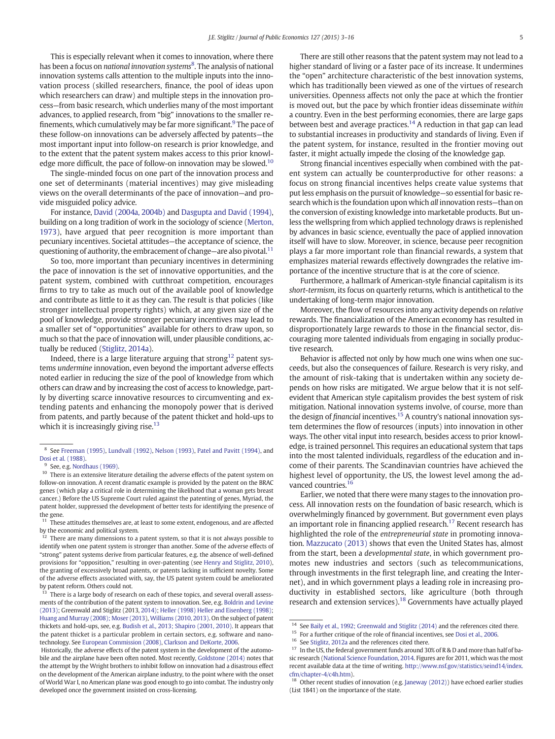This is especially relevant when it comes to innovation, where there has been a focus on *national innovation systems<sup>8</sup>.* The analysis of national innovation systems calls attention to the multiple inputs into the innovation process (skilled researchers, finance, the pool of ideas upon which researchers can draw) and multiple steps in the innovation process—from basic research, which underlies many of the most important advances, to applied research, from "big" innovations to the smaller refinements, which cumulatively may be far more significant.<sup>9</sup> The pace of these follow-on innovations can be adversely affected by patents—the most important input into follow-on research is prior knowledge, and to the extent that the patent system makes access to this prior knowledge more difficult, the pace of follow-on innovation may be slowed.<sup>10</sup>

The single-minded focus on one part of the innovation process and one set of determinants (material incentives) may give misleading views on the overall determinants of the pace of innovation—and provide misguided policy advice.

For instance, [David \(2004a, 2004b\)](#page-12-0) and [Dasgupta and David \(1994\),](#page-12-0) building on a long tradition of work in the sociology of science ([Merton,](#page-12-0) [1973\)](#page-12-0), have argued that peer recognition is more important than pecuniary incentives. Societal attitudes—the acceptance of science, the questioning of authority, the embracement of change—are also pivotal. $11$ 

So too, more important than pecuniary incentives in determining the pace of innovation is the set of innovative opportunities, and the patent system, combined with cutthroat competition, encourages firms to try to take as much out of the available pool of knowledge and contribute as little to it as they can. The result is that policies (like stronger intellectual property rights) which, at any given size of the pool of knowledge, provide stronger pecuniary incentives may lead to a smaller set of "opportunities" available for others to draw upon, so much so that the pace of innovation will, under plausible conditions, actually be reduced ([Stiglitz, 2014a\)](#page-13-0).

Indeed, there is a large literature arguing that strong<sup>12</sup> patent systems undermine innovation, even beyond the important adverse effects noted earlier in reducing the size of the pool of knowledge from which others can draw and by increasing the cost of access to knowledge, partly by diverting scarce innovative resources to circumventing and extending patents and enhancing the monopoly power that is derived from patents, and partly because of the patent thicket and hold-ups to which it is increasingly giving rise.<sup>13</sup>

<sup>11</sup> These attitudes themselves are, at least to some extent, endogenous, and are affected by the economic and political system.

There are many dimensions to a patent system, so that it is not always possible to identify when one patent system is stronger than another. Some of the adverse effects of "strong" patent systems derive from particular features, e.g. the absence of well-defined provisions for "opposition," resulting in over-patenting (see [Henry and Stiglitz, 2010](#page-12-0)), the granting of excessively broad patents, or patents lacking in sufficient novelty. Some of the adverse effects associated with, say, the US patent system could be ameliorated by patent reform. Others could not.

There is a large body of research on each of these topics, and several overall assessments of the contribution of the patent system to innovation. See, e.g. [Boldrin and Levine](#page-12-0) [\(2013\)](#page-12-0); Greenwald and Stiglitz (2013, [2014\)](#page-12-0); [Heller \(1998\) Heller and Eisenberg \(1998\)](#page-12-0); [Huang and Murray \(2008\); Moser \(2013\)](#page-12-0), [Williams \(2010, 2013\)](#page-13-0). On the subject of patent thickets and hold-ups, see, e.g. [Budish et al., 2013; Shapiro \(2001, 2010\).](#page-12-0) It appears that the patent thicket is a particular problem in certain sectors, e.g. software and nanotechnology. See [European Commission \(2008\)](#page-12-0), [Clarkson and DeKorte, 2006](#page-12-0).

There are still other reasons that the patent system may not lead to a higher standard of living or a faster pace of its increase. It undermines the "open" architecture characteristic of the best innovation systems, which has traditionally been viewed as one of the virtues of research universities. Openness affects not only the pace at which the frontier is moved out, but the pace by which frontier ideas disseminate within a country. Even in the best performing economies, there are large gaps between best and average practices.<sup>14</sup> A reduction in that gap can lead to substantial increases in productivity and standards of living. Even if the patent system, for instance, resulted in the frontier moving out faster, it might actually impede the closing of the knowledge gap.

Strong financial incentives especially when combined with the patent system can actually be counterproductive for other reasons: a focus on strong financial incentives helps create value systems that put less emphasis on the pursuit of knowledge—so essential for basic research which is the foundation upon which all innovation rests—than on the conversion of existing knowledge into marketable products. But unless the wellspring from which applied technology draws is replenished by advances in basic science, eventually the pace of applied innovation itself will have to slow. Moreover, in science, because peer recognition plays a far more important role than financial rewards, a system that emphasizes material rewards effectively downgrades the relative importance of the incentive structure that is at the core of science.

Furthermore, a hallmark of American-style financial capitalism is its short-termism, its focus on quarterly returns, which is antithetical to the undertaking of long-term major innovation.

Moreover, the flow of resources into any activity depends on relative rewards. The financialization of the American economy has resulted in disproportionately large rewards to those in the financial sector, discouraging more talented individuals from engaging in socially productive research.

Behavior is affected not only by how much one wins when one succeeds, but also the consequences of failure. Research is very risky, and the amount of risk-taking that is undertaken within any society depends on how risks are mitigated. We argue below that it is not selfevident that American style capitalism provides the best system of risk mitigation. National innovation systems involve, of course, more than the design of *financial* incentives.<sup>15</sup> A country's national innovation system determines the flow of resources (inputs) into innovation in other ways. The other vital input into research, besides access to prior knowledge, is trained personnel. This requires an educational system that taps into the most talented individuals, regardless of the education and income of their parents. The Scandinavian countries have achieved the highest level of opportunity, the US, the lowest level among the advanced countries  $^{16}$ 

Earlier, we noted that there were many stages to the innovation process. All innovation rests on the foundation of basic research, which is overwhelmingly financed by government. But government even plays an important role in financing applied research.<sup>17</sup> Recent research has highlighted the role of the entrepreneurial state in promoting innovation. [Mazzucato \(2013\)](#page-12-0) shows that even the United States has, almost from the start, been a developmental state, in which government promotes new industries and sectors (such as telecommunications, through investments in the first telegraph line, and creating the Internet), and in which government plays a leading role in increasing productivity in established sectors, like agriculture (both through research and extension services).18 Governments have actually played

<sup>8</sup> See [Freeman \(1995\)](#page-12-0), [Lundvall \(1992\)](#page-12-0), [Nelson \(1993\),](#page-13-0) [Patel and Pavitt \(1994\)](#page-13-0), and [Dosi et al. \(1988\)](#page-12-0).

See, e.g. [Nordhaus \(1969\).](#page-13-0)

<sup>&</sup>lt;sup>10</sup> There is an extensive literature detailing the adverse effects of the patent system on follow-on innovation. A recent dramatic example is provided by the patent on the BRAC genes (which play a critical role in determining the likelihood that a woman gets breast cancer.) Before the US Supreme Court ruled against the patenting of genes, Myriad, the patent holder, suppressed the development of better tests for identifying the presence of the gene.

Historically, the adverse effects of the patent system in the development of the automobile and the airplane have been often noted. Most recently, [Goldstone \(2014\)](#page-12-0) notes that the attempt by the Wright brothers to inhibit follow on innovation had a disastrous effect on the development of the American airplane industry, to the point where with the onset of World War I, no American plane was good enough to go into combat. The industry only developed once the government insisted on cross-licensing.

See [Baily et al., 1992; Greenwald and Stiglitz \(2014\)](#page-12-0) and the references cited there.

<sup>&</sup>lt;sup>15</sup> For a further critique of the role of financial incentives, see [Dosi et al., 2006.](#page-12-0)

<sup>16</sup> See [Stiglitz, 2012a](#page-13-0) and the references cited there.

<sup>&</sup>lt;sup>17</sup> In the US, the federal government funds around 30% of R & D and more than half of basic research [\(National Science Foundation, 2014](#page-13-0). Figures are for 2011, which was the most recent available data at the time of writing. [http://www.nsf.gov/statistics/seind14/index.](http://www.nsf.gov/statistics/seind14/index.cfm/chapter-4/c4h.htm) [cfm/chapter-4/c4h.htm](http://www.nsf.gov/statistics/seind14/index.cfm/chapter-4/c4h.htm)).

<sup>&</sup>lt;sup>18</sup> Other recent studies of innovation (e.g. [Janeway \(2012\)\)](#page-12-0) have echoed earlier studies (List 1841) on the importance of the state.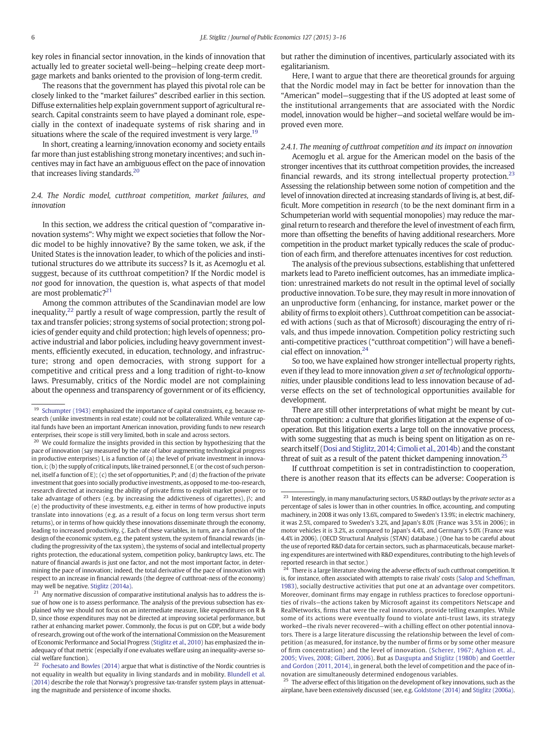key roles in financial sector innovation, in the kinds of innovation that actually led to greater societal well-being—helping create deep mortgage markets and banks oriented to the provision of long-term credit.

The reasons that the government has played this pivotal role can be closely linked to the "market failures" described earlier in this section. Diffuse externalities help explain government support of agricultural research. Capital constraints seem to have played a dominant role, especially in the context of inadequate systems of risk sharing and in situations where the scale of the required investment is very large.<sup>19</sup>

In short, creating a learning/innovation economy and society entails far more than just establishing strong monetary incentives; and such incentives may in fact have an ambiguous effect on the pace of innovation that increases living standards. $20$ 

# 2.4. The Nordic model, cutthroat competition, market failures, and innovation

In this section, we address the critical question of "comparative innovation systems": Why might we expect societies that follow the Nordic model to be highly innovative? By the same token, we ask, if the United States is the innovation leader, to which of the policies and institutional structures do we attribute its success? Is it, as Acemoglu et al. suggest, because of its cutthroat competition? If the Nordic model is not good for innovation, the question is, what aspects of that model are most problematic?<sup>21</sup>

Among the common attributes of the Scandinavian model are low inequality, $^{22}$  partly a result of wage compression, partly the result of tax and transfer policies; strong systems of social protection; strong policies of gender equity and child protection; high levels of openness; proactive industrial and labor policies, including heavy government investments, efficiently executed, in education, technology, and infrastructure; strong and open democracies, with strong support for a competitive and critical press and a long tradition of right-to-know laws. Presumably, critics of the Nordic model are not complaining about the openness and transparency of government or of its efficiency,

but rather the diminution of incentives, particularly associated with its egalitarianism.

Here, I want to argue that there are theoretical grounds for arguing that the Nordic model may in fact be better for innovation than the "American" model—suggesting that if the US adopted at least some of the institutional arrangements that are associated with the Nordic model, innovation would be higher—and societal welfare would be improved even more.

# 2.4.1. The meaning of cutthroat competition and its impact on innovation

Acemoglu et al. argue for the American model on the basis of the stronger incentives that its cutthroat competition provides, the increased financial rewards, and its strong intellectual property protection. $23$ Assessing the relationship between some notion of competition and the level of innovation directed at increasing standards of living is, at best, difficult. More competition in research (to be the next dominant firm in a Schumpeterian world with sequential monopolies) may reduce the marginal return to research and therefore the level of investment of each firm, more than offsetting the benefits of having additional researchers. More competition in the product market typically reduces the scale of production of each firm, and therefore attenuates incentives for cost reduction.

The analysis of the previous subsections, establishing that unfettered markets lead to Pareto inefficient outcomes, has an immediate implication: unrestrained markets do not result in the optimal level of socially productive innovation. To be sure, they may result in more innovation of an unproductive form (enhancing, for instance, market power or the ability of firms to exploit others). Cutthroat competition can be associated with actions (such as that of Microsoft) discouraging the entry of rivals, and thus impede innovation. Competition policy restricting such anti-competitive practices ("cutthroat competition") will have a beneficial effect on innovation.24

So too, we have explained how stronger intellectual property rights, even if they lead to more innovation given a set of technological opportunities, under plausible conditions lead to less innovation because of adverse effects on the set of technological opportunities available for development.

There are still other interpretations of what might be meant by cutthroat competition: a culture that glorifies litigation at the expense of cooperation. But this litigation exerts a large toll on the innovative process, with some suggesting that as much is being spent on litigation as on research itself [\(Dosi and Stiglitz, 2014; Cimoli et al., 2014b\)](#page-12-0) and the constant threat of suit as a result of the patent thicket dampening innovation. $25$ 

If cutthroat competition is set in contradistinction to cooperation, there is another reason that its effects can be adverse: Cooperation is

<sup>25</sup> The adverse effect of this litigation on the development of key innovations, such as the airplane, have been extensively discussed (see, e.g. [Goldstone \(2014\)](#page-12-0) and [Stiglitz \(2006a\)](#page-13-0).

<sup>&</sup>lt;sup>19</sup> [Schumpter \(1943\)](#page-13-0) emphasized the importance of capital constraints, e.g. because research (unlike investments in real estate) could not be collateralized. While venture capital funds have been an important American innovation, providing funds to new research enterprises, their scope is still very limited, both in scale and across sectors.

<sup>&</sup>lt;sup>20</sup> We could formalize the insights provided in this section by hypothesizing that the pace of innovation (say measured by the rate of labor augmenting technological progress in productive enterprises) I, is a function of  $(a)$  the level of private investment in innovation, i; (b) the supply of critical inputs, like trained personnel, E (or the cost of such personnel, itself a function of E); (c) the set of opportunities, P; and (d) the fraction of the private investment that goes into socially productive investments, as opposed to me-too-research, research directed at increasing the ability of private firms to exploit market power or to take advantage of others (e.g. by increasing the addictiveness of cigarettes), β; and (e) the productivity of these investments, e.g. either in terms of how productive inputs translate into innovations (e.g. as a result of a focus on long term versus short term returns), or in terms of how quickly these innovations disseminate through the economy, leading to increased productivity, ζ. Each of these variables, in turn, are a function of the design of the economic system, e.g. the patent system, the system of financial rewards (including the progressivity of the tax system), the systems of social and intellectual property rights protection, the educational system, competition policy, bankruptcy laws, etc. The nature of financial awards is just one factor, and not the most important factor, in determining the pace of innovation; indeed, the total derivative of the pace of innovation with respect to an increase in financial rewards (the degree of cutthroat-ness of the economy) may well be negative. [Stiglitz \(2014a\)](#page-13-0).

<sup>&</sup>lt;sup>21</sup> Any normative discussion of comparative institutional analysis has to address the issue of how one is to assess performance. The analysis of the previous subsection has explained why we should not focus on an intermediate measure, like expenditures on R & D, since those expenditures may not be directed at improving societal performance, but rather at enhancing market power. Commonly, the focus is put on GDP, but a wide body of research, growing out of the work of the international Commission on the Measurement of Economic Performance and Social Progress ([Stiglitz et al., 2010\)](#page-13-0) has emphasized the inadequacy of that metric (especially if one evaluates welfare using an inequality-averse social welfare function).

 $22$  [Fochesato and Bowles \(2014\)](#page-12-0) argue that what is distinctive of the Nordic countries is not equality in wealth but equality in living standards and in mobility. [Blundell et al.](#page-12-0) [\(2014\)](#page-12-0) describe the role that Norway's progressive tax-transfer system plays in attenuating the magnitude and persistence of income shocks.

 $^{23}\,$  Interestingly, in many manufacturing sectors, US R&D outlays by the private sector as a percentage of sales is lower than in other countries. In office, accounting, and computing machinery, in 2008 it was only 13.6%, compared to Sweden's 13.9%; in electric machinery, it was 2.5%, compared to Sweden's 3.2%, and Japan's 8.0% (France was 3.5% in 2006); in motor vehicles it is 3.2%, as compared to Japan's 4.4%, and Germany's 5.0% (France was 4.4% in 2006). (OECD Structural Analysis (STAN) database.) (One has to be careful about the use of reported R&D data for certain sectors, such as pharmaceuticals, because marketing expenditures are intertwined with R&D expenditures, contributing to the high levels of reported research in that sector.)

<sup>&</sup>lt;sup>24</sup> There is a large literature showing the adverse effects of such cutthroat competition. It is, for instance, often associated with attempts to raise rivals' costs [\(Salop and Scheffman,](#page-13-0) [1983](#page-13-0)), socially destructive activities that put one at an advantage over competitors. Moreover, dominant firms may engage in ruthless practices to foreclose opportunities of rivals—the actions taken by Microsoft against its competitors Netscape and RealNetworks, firms that were the real innovators, provide telling examples. While some of its actions were eventually found to violate anti-trust laws, its strategy worked—the rivals never recovered—with a chilling effect on other potential innovators. There is a large literature discussing the relationship between the level of competition (as measured, for instance, by the number of firms or by some other measure of firm concentration) and the level of innovation. [\(Scherer, 1967; Aghion et. al.,](#page-13-0) [2005; Vives, 2008; Gilbert, 2006](#page-13-0)). But as [Dasgupta and Stiglitz \(1980b\)](#page-12-0) and [Goettler](#page-12-0) [and Gordon \(2011, 2014\),](#page-12-0) in general, both the level of competition and the pace of innovation are simultaneously determined endogenous variables.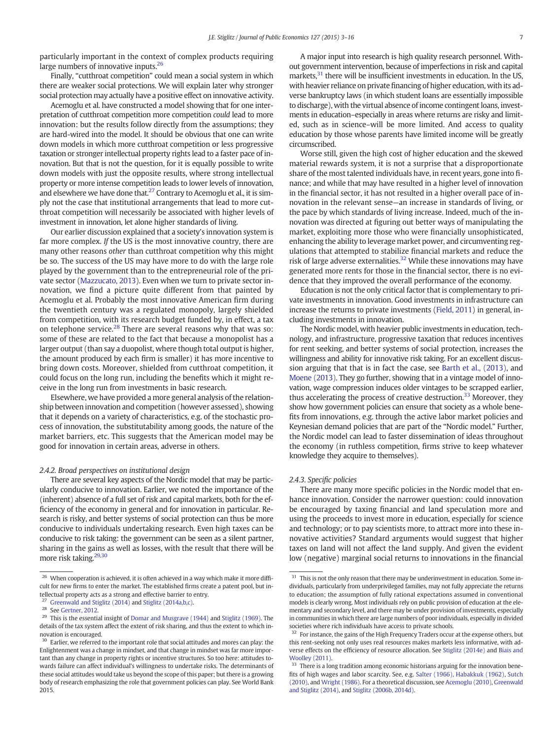particularly important in the context of complex products requiring large numbers of innovative inputs.<sup>26</sup>

Finally, "cutthroat competition" could mean a social system in which there are weaker social protections. We will explain later why stronger social protection may actually have a positive effect on innovative activity.

Acemoglu et al. have constructed a model showing that for one interpretation of cutthroat competition more competition could lead to more innovation: but the results follow directly from the assumptions; they are hard-wired into the model. It should be obvious that one can write down models in which more cutthroat competition or less progressive taxation or stronger intellectual property rights lead to a faster pace of innovation. But that is not the question, for it is equally possible to write down models with just the opposite results, where strong intellectual property or more intense competition leads to lower levels of innovation, and elsewhere we have done that.<sup>27</sup> Contrary to Acemoglu et al., it is simply not the case that institutional arrangements that lead to more cutthroat competition will necessarily be associated with higher levels of investment in innovation, let alone higher standards of living.

Our earlier discussion explained that a society's innovation system is far more complex. If the US is the most innovative country, there are many other reasons other than cutthroat competition why this might be so. The success of the US may have more to do with the large role played by the government than to the entrepreneurial role of the private sector [\(Mazzucato, 2013\)](#page-12-0). Even when we turn to private sector innovation, we find a picture quite different from that painted by Acemoglu et al. Probably the most innovative American firm during the twentieth century was a regulated monopoly, largely shielded from competition, with its research budget funded by, in effect, a tax on telephone service.<sup>28</sup> There are several reasons why that was so: some of these are related to the fact that because a monopolist has a larger output (than say a duopolist, where though total output is higher, the amount produced by each firm is smaller) it has more incentive to bring down costs. Moreover, shielded from cutthroat competition, it could focus on the long run, including the benefits which it might receive in the long run from investments in basic research.

Elsewhere, we have provided a more general analysis of the relationship between innovation and competition (however assessed), showing that it depends on a variety of characteristics, e.g. of the stochastic process of innovation, the substitutability among goods, the nature of the market barriers, etc. This suggests that the American model may be good for innovation in certain areas, adverse in others.

## 2.4.2. Broad perspectives on institutional design

There are several key aspects of the Nordic model that may be particularly conducive to innovation. Earlier, we noted the importance of the (inherent) absence of a full set of risk and capital markets, both for the efficiency of the economy in general and for innovation in particular. Research is risky, and better systems of social protection can thus be more conducive to individuals undertaking research. Even high taxes can be conducive to risk taking: the government can be seen as a silent partner, sharing in the gains as well as losses, with the result that there will be more risk taking.29,30

A major input into research is high quality research personnel. Without government intervention, because of imperfections in risk and capital markets, $31$  there will be insufficient investments in education. In the US, with heavier reliance on private financing of higher education, with its adverse bankruptcy laws (in which student loans are essentially impossible to discharge), with the virtual absence of income contingent loans, investments in education–especially in areas where returns are risky and limited, such as in science–will be more limited. And access to quality education by those whose parents have limited income will be greatly circumscribed.

Worse still, given the high cost of higher education and the skewed material rewards system, it is not a surprise that a disproportionate share of the most talented individuals have, in recent years, gone into finance; and while that may have resulted in a higher level of innovation in the financial sector, it has not resulted in a higher overall pace of innovation in the relevant sense—an increase in standards of living, or the pace by which standards of living increase. Indeed, much of the innovation was directed at figuring out better ways of manipulating the market, exploiting more those who were financially unsophisticated, enhancing the ability to leverage market power, and circumventing regulations that attempted to stabilize financial markets and reduce the risk of large adverse externalities.<sup>32</sup> While these innovations may have generated more rents for those in the financial sector, there is no evidence that they improved the overall performance of the economy.

Education is not the only critical factor that is complementary to private investments in innovation. Good investments in infrastructure can increase the returns to private investments [\(Field, 2011\)](#page-12-0) in general, including investments in innovation.

The Nordic model, with heavier public investments in education, technology, and infrastructure, progressive taxation that reduces incentives for rent seeking, and better systems of social protection, increases the willingness and ability for innovative risk taking. For an excellent discussion arguing that that is in fact the case, see [Barth et al., \(2013\),](#page-12-0) and [Moene \(2013\)](#page-12-0). They go further, showing that in a vintage model of innovation, wage compression induces older vintages to be scrapped earlier, thus accelerating the process of creative destruction. $33$  Moreover, they show how government policies can ensure that society as a whole benefits from innovations, e.g. through the active labor market policies and Keynesian demand policies that are part of the "Nordic model." Further, the Nordic model can lead to faster dissemination of ideas throughout the economy (in ruthless competition, firms strive to keep whatever knowledge they acquire to themselves).

## 2.4.3. Specific policies

There are many more specific policies in the Nordic model that enhance innovation. Consider the narrower question: could innovation be encouraged by taxing financial and land speculation more and using the proceeds to invest more in education, especially for science and technology; or to pay scientists more, to attract more into these innovative activities? Standard arguments would suggest that higher taxes on land will not affect the land supply. And given the evident low (negative) marginal social returns to innovations in the financial

 $26$  When cooperation is achieved, it is often achieved in a way which make it more difficult for new firms to enter the market. The established firms create a patent pool, but intellectual property acts as a strong and effective barrier to entry.

<sup>27</sup> [Greenwald and Stiglitz \(2014\)](#page-12-0) and [Stiglitz \(2014a,b,c\).](#page-13-0)

<sup>28</sup> See [Gertner, 2012](#page-12-0).

<sup>&</sup>lt;sup>29</sup> This is the essential insight of [Domar and Musgrave \(1944\)](#page-12-0) and [Stiglitz \(1969\).](#page-13-0) The details of the tax system affect the extent of risk sharing, and thus the extent to which innovation is encouraged.

<sup>&</sup>lt;sup>30</sup> Earlier, we referred to the important role that social attitudes and mores can play: the Enlightenment was a change in mindset, and that change in mindset was far more important than any change in property rights or incentive structures. So too here: attitudes towards failure can affect individual's willingness to undertake risks. The determinants of these social attitudes would take us beyond the scope of this paper; but there is a growing body of research emphasizing the role that government policies can play. See World Bank 2015.

 $31$  This is not the only reason that there may be underinvestment in education. Some individuals, particularly from underprivileged families, may not fully appreciate the returns to education; the assumption of fully rational expectations assumed in conventional models is clearly wrong. Most individuals rely on public provision of education at the elementary and secondary level, and there may be under provision of investments, especially in communities in which there are large numbers of poor individuals, especially in divided societies where rich individuals have access to private schools.

<sup>&</sup>lt;sup>32</sup> For instance, the gains of the High Frequency Traders occur at the expense others, but this rent-seeking not only uses real resources makes markets less informative, with adverse effects on the efficiency of resource allocation. See [Stiglitz \(2014e\)](#page-13-0) and [Biais and](#page-12-0) [Woolley \(2011\).](#page-12-0)

<sup>&</sup>lt;sup>33</sup> There is a long tradition among economic historians arguing for the innovation benefits of high wages and labor scarcity. See, e.g. [Salter \(1966\), Habakkuk \(1962\),](#page-13-0) [Sutch](#page-13-0) [\(2010\)](#page-13-0), and [Wright \(1986\)](#page-13-0). For a theoretical discussion, see [Acemoglu \(2010\),](#page-12-0) [Greenwald](#page-12-0) [and Stiglitz \(2014\),](#page-12-0) and [Stiglitz \(2006b, 2014d\)](#page-13-0).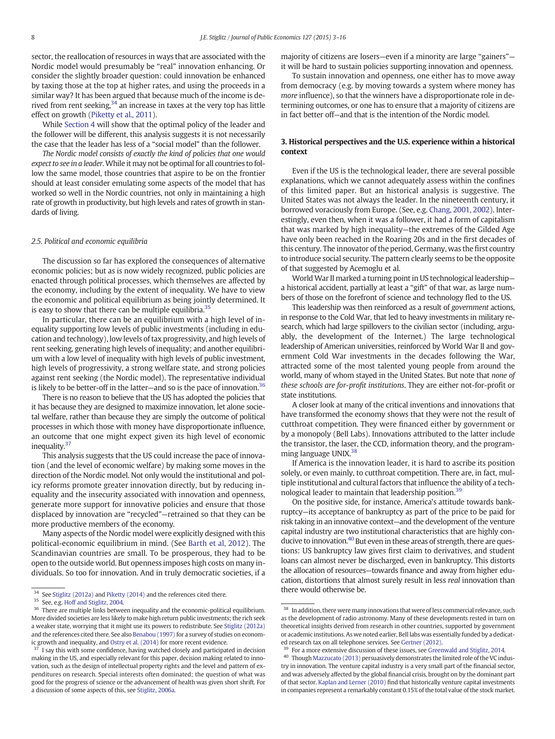<span id="page-5-0"></span>sector, the reallocation of resources in ways that are associated with the Nordic model would presumably be "real" innovation enhancing. Or consider the slightly broader question: could innovation be enhanced by taxing those at the top at higher rates, and using the proceeds in a similar way? It has been argued that because much of the income is derived from rent seeking, $34$  an increase in taxes at the very top has little effect on growth [\(Piketty et al., 2011\)](#page-13-0).

While [Section 4](#page-7-0) will show that the optimal policy of the leader and the follower will be different, this analysis suggests it is not necessarily the case that the leader has less of a "social model" than the follower.

The Nordic model consists of exactly the kind of policies that one would expect to see in a leader.While it may not be optimal for all countries to follow the same model, those countries that aspire to be on the frontier should at least consider emulating some aspects of the model that has worked so well in the Nordic countries, not only in maintaining a high rate of growth in productivity, but high levels and rates of growth in standards of living.

#### 2.5. Political and economic equilibria

The discussion so far has explored the consequences of alternative economic policies; but as is now widely recognized, public policies are enacted through political processes, which themselves are affected by the economy, including by the extent of inequality. We have to view the economic and political equilibrium as being jointly determined. It is easy to show that there can be multiple equilibria. $35$ 

In particular, there can be an equilibrium with a high level of inequality supporting low levels of public investments (including in education and technology), low levels of tax progressivity, and high levels of rent seeking, generating high levels of inequality; and another equilibrium with a low level of inequality with high levels of public investment, high levels of progressivity, a strong welfare state, and strong policies against rent seeking (the Nordic model). The representative individual is likely to be better-off in the latter-and so is the pace of innovation.<sup>36</sup>

There is no reason to believe that the US has adopted the policies that it has because they are designed to maximize innovation, let alone societal welfare, rather than because they are simply the outcome of political processes in which those with money have disproportionate influence, an outcome that one might expect given its high level of economic inequality.<sup>37</sup>

This analysis suggests that the US could increase the pace of innovation (and the level of economic welfare) by making some moves in the direction of the Nordic model. Not only would the institutional and policy reforms promote greater innovation directly, but by reducing inequality and the insecurity associated with innovation and openness, generate more support for innovative policies and ensure that those displaced by innovation are "recycled"—retrained so that they can be more productive members of the economy.

Many aspects of the Nordic model were explicitly designed with this political-economic equilibrium in mind. (See [Barth et al, 2012](#page-12-0)). The Scandinavian countries are small. To be prosperous, they had to be open to the outside world. But openness imposes high costs on many individuals. So too for innovation. And in truly democratic societies, if a majority of citizens are losers—even if a minority are large "gainers" it will be hard to sustain policies supporting innovation and openness.

To sustain innovation and openness, one either has to move away from democracy (e.g. by moving towards a system where money has more influence), so that the winners have a disproportionate role in determining outcomes, or one has to ensure that a majority of citizens are in fact better off—and that is the intention of the Nordic model.

# 3. Historical perspectives and the U.S. experience within a historical context

Even if the US is the technological leader, there are several possible explanations, which we cannot adequately assess within the confines of this limited paper. But an historical analysis is suggestive. The United States was not always the leader. In the nineteenth century, it borrowed voraciously from Europe. (See, e.g. [Chang, 2001, 2002\)](#page-12-0). Interestingly, even then, when it was a follower, it had a form of capitalism that was marked by high inequality—the extremes of the Gilded Age have only been reached in the Roaring 20s and in the first decades of this century. The innovator of the period, Germany, was the first country to introduce social security. The pattern clearly seems to be the opposite of that suggested by Acemoglu et al.

World War II marked a turning point in US technological leadership a historical accident, partially at least a "gift" of that war, as large numbers of those on the forefront of science and technology fled to the US.

This leadership was then reinforced as a result of government actions, in response to the Cold War, that led to heavy investments in military research, which had large spillovers to the civilian sector (including, arguably, the development of the Internet.) The large technological leadership of American universities, reinforced by World War II and government Cold War investments in the decades following the War, attracted some of the most talented young people from around the world, many of whom stayed in the United States. But note that none of these schools are for-profit institutions. They are either not-for-profit or state institutions.

A closer look at many of the critical inventions and innovations that have transformed the economy shows that they were not the result of cutthroat competition. They were financed either by government or by a monopoly (Bell Labs). Innovations attributed to the latter include the transistor, the laser, the CCD, information theory, and the programming language UNIX.<sup>38</sup>

If America is the innovation leader, it is hard to ascribe its position solely, or even mainly, to cutthroat competition. There are, in fact, multiple institutional and cultural factors that influence the ability of a technological leader to maintain that leadership position.<sup>39</sup>

On the positive side, for instance, America's attitude towards bankruptcy—its acceptance of bankruptcy as part of the price to be paid for risk taking in an innovative context—and the development of the venture capital industry are two institutional characteristics that are highly conducive to innovation.<sup>40</sup> But even in these areas of strength, there are questions: US bankruptcy law gives first claim to derivatives, and student loans can almost never be discharged, even in bankruptcy. This distorts the allocation of resources—towards finance and away from higher education, distortions that almost surely result in less real innovation than

 $\frac{34 \text{ See Stightz (2012a) and Piketty (2014) and the references cited there.}$  $\frac{34 \text{ See Stightz (2012a) and Piketty (2014) and the references cited there.}$  $\frac{34 \text{ See Stightz (2012a) and Piketty (2014) and the references cited there.}$  there would otherwise be.

<sup>&</sup>lt;sup>35</sup> See, e.g. [Hoff and Stiglitz, 2004.](#page-12-0)

<sup>&</sup>lt;sup>36</sup> There are multiple links between inequality and the economic-political equilibrium. More divided societies are less likely to make high return public investments; the rich seek a weaker state, worrying that it might use its powers to redistribute. See [Stiglitz \(2012a\)](#page-13-0) and the references cited there. See also [Benabou \(1997\)](#page-12-0) for a survey of studies on economic growth and inequality, and [Ostry et al. \(2014\)](#page-13-0) for more recent evidence.

I say this with some confidence, having watched closely and participated in decision making in the US, and especially relevant for this paper, decision making related to innovation, such as the design of intellectual property rights and the level and pattern of expenditures on research. Special interests often dominated; the question of what was good for the progress of science or the advancement of health was given short shrift. For a discussion of some aspects of this, see [Stiglitz, 2006a](#page-13-0).

 $^\mathrm{38}$  In addition, there were many innovations that were of less commercial relevance, such as the development of radio astronomy. Many of these developments rested in turn on theoretical insights derived from research in other countries, supported by government or academic institutions. As we noted earlier, Bell labs was essentially funded by a dedicated research tax on all telephone services. See [Gertner \(2012\).](#page-12-0)

<sup>39</sup> For a more extensive discussion of these issues, see [Greenwald and Stiglitz, 2014](#page-12-0).

<sup>40</sup> Though [Mazzucato \(2013\)](#page-12-0) persuasively demonstrates the limited role of the VC industry in innovation. The venture capital industry is a very small part of the financial sector, and was adversely affected by the global financial crisis, brought on by the dominant part of that sector. [Kaplan and Lerner \(2010\)](#page-12-0) find that historically venture capital investments in companies represent a remarkably constant 0.15% of the total value of the stock market.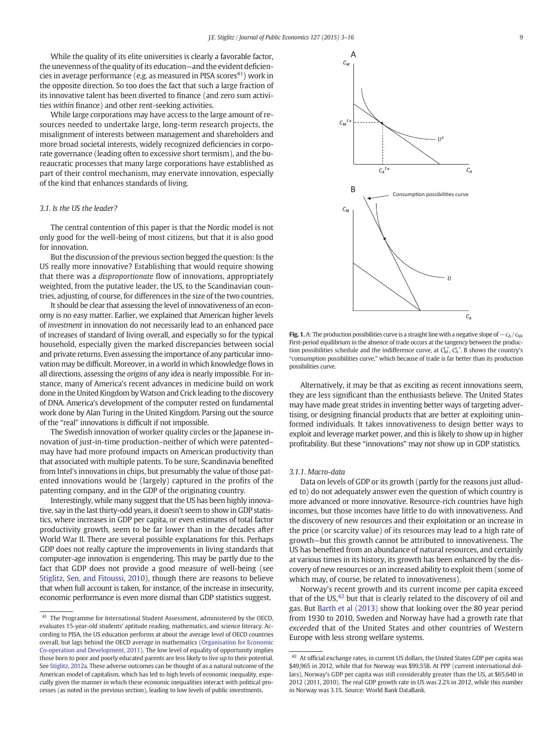<span id="page-6-0"></span>While the quality of its elite universities is clearly a favorable factor, the unevenness of the quality of its education—and the evident deficiencies in average performance (e.g. as measured in PISA scores<sup>41</sup>) work in the opposite direction. So too does the fact that such a large fraction of its innovative talent has been diverted to finance (and zero sum activities within finance) and other rent-seeking activities.

While large corporations may have access to the large amount of resources needed to undertake large, long-term research projects, the misalignment of interests between management and shareholders and more broad societal interests, widely recognized deficiencies in corporate governance (leading often to excessive short termism), and the bureaucratic processes that many large corporations have established as part of their control mechanism, may enervate innovation, especially of the kind that enhances standards of living.

# 3.1. Is the US the leader?

The central contention of this paper is that the Nordic model is not only good for the well-being of most citizens, but that it is also good for innovation.

But the discussion of the previous section begged the question: Is the US really more innovative? Establishing that would require showing that there was a disproportionate flow of innovations, appropriately weighted, from the putative leader, the US, to the Scandinavian countries, adjusting, of course, for differences in the size of the two countries.

It should be clear that assessing the level of innovativeness of an economy is no easy matter. Earlier, we explained that American higher levels of investment in innovation do not necessarily lead to an enhanced pace of increases of standard of living overall, and especially so for the typical household, especially given the marked discrepancies between social and private returns. Even assessing the importance of any particular innovation may be difficult. Moreover, in a world in which knowledge flows in all directions, assessing the origins of any idea is nearly impossible. For instance, many of America's recent advances in medicine build on work done in the United Kingdom by Watson and Crick leading to the discovery of DNA. America's development of the computer rested on fundamental work done by Alan Turing in the United Kingdom. Parsing out the source of the "real" innovations is difficult if not impossible.

The Swedish innovation of worker quality circles or the Japanese innovation of just-in-time production–neither of which were patented– may have had more profound impacts on American productivity than that associated with multiple patents. To be sure, Scandinavia benefited from Intel's innovations in chips, but presumably the value of those patented innovations would be (largely) captured in the profits of the patenting company, and in the GDP of the originating country.

Interestingly, while many suggest that the US has been highly innovative, say in the last thirty-odd years, it doesn't seem to show in GDP statistics, where increases in GDP per capita, or even estimates of total factor productivity growth, seem to be far lower than in the decades after World War II. There are several possible explanations for this. Perhaps GDP does not really capture the improvements in living standards that computer-age innovation is engendering. This may be partly due to the fact that GDP does not provide a good measure of well-being (see [Stiglitz, Sen, and Fitoussi, 2010](#page-13-0)), though there are reasons to believe that when full account is taken, for instance, of the increase in insecurity, economic performance is even more dismal than GDP statistics suggest.



Fig. 1. A: The production possibilities curve is a straight line with a negative slope of  $-c_A/c_M$ . First-period equilibrium in the absence of trade occurs at the tangency between the production possibilities schedule and the indifference curve, at  $C_M^*$ ,  $C_A^*$ <sup>\*</sup>. B shows the country's "consumption possibilities curve," which because of trade is far better than its production possibilities curve.

Alternatively, it may be that as exciting as recent innovations seem, they are less significant than the enthusiasts believe. The United States may have made great strides in inventing better ways of targeting advertising, or designing financial products that are better at exploiting uninformed individuals. It takes innovativeness to design better ways to exploit and leverage market power, and this is likely to show up in higher profitability. But these "innovations" may not show up in GDP statistics.

#### 3.1.1. Macro-data

Data on levels of GDP or its growth (partly for the reasons just alluded to) do not adequately answer even the question of which country is more advanced or more innovative. Resource-rich countries have high incomes, but those incomes have little to do with innovativeness. And the discovery of new resources and their exploitation or an increase in the price (or scarcity value) of its resources may lead to a high rate of growth—but this growth cannot be attributed to innovativeness. The US has benefited from an abundance of natural resources, and certainly at various times in its history, its growth has been enhanced by the discovery of new resources or an increased ability to exploit them (some of which may, of course, be related to innovativeness).

Norway's recent growth and its current income per capita exceed that of the  $US<sub>1</sub><sup>42</sup>$  but that is clearly related to the discovery of oil and gas. But [Barth et al \(2013\)](#page-12-0) show that looking over the 80 year period from 1930 to 2010, Sweden and Norway have had a growth rate that exceeded that of the United States and other countries of Western Europe with less strong welfare systems.

<sup>&</sup>lt;sup>41</sup> The Programme for International Student Assessment, administered by the OECD, evaluates 15-year-old students' aptitude reading, mathematics, and science literacy. According to PISA, the US education performs at about the average level of OECD countries overall, but lags behind the OECD average in mathematics [\(Organisation for Economic](#page-13-0) [Co-operation and Development, 2011\)](#page-13-0). The low level of equality of opportunity implies those born to poor and poorly educated parents are less likely to live up to their potential. See [Stiglitz, 2012a](#page-13-0). These adverse outcomes can be thought of as a natural outcome of the American model of capitalism, which has led to high levels of economic inequality, especially given the manner in which these economic inequalities interact with political processes (as noted in the previous section), leading to low levels of public investments.

 $42$  At official exchange rates, in current US dollars, the United States GDP per capita was \$49,965 in 2012, while that for Norway was \$99,558. At PPP (current international dollars), Norway's GDP per capita was still considerably greater than the US, at \$65,640 in 2012 (2011, 2010). The real GDP growth rate in US was 2.2% in 2012, while this number in Norway was 3.1%. Source: World Bank DataBank.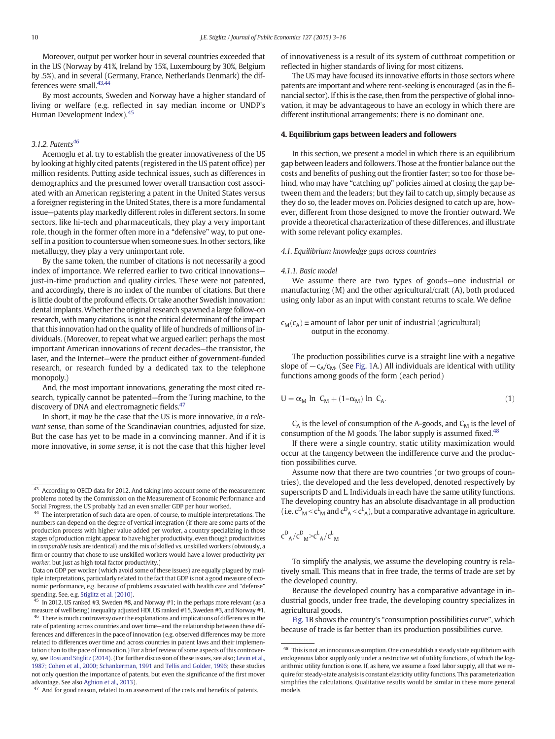<span id="page-7-0"></span>Moreover, output per worker hour in several countries exceeded that in the US (Norway by 41%, Ireland by 15%, Luxembourg by 30%, Belgium by .5%), and in several (Germany, France, Netherlands Denmark) the differences were small.<sup>43,44</sup>

By most accounts, Sweden and Norway have a higher standard of living or welfare (e.g. reflected in say median income or UNDP's Human Development Index).45

# 3.1.2. Patents $46$

Acemoglu et al. try to establish the greater innovativeness of the US by looking at highly cited patents (registered in the US patent office) per million residents. Putting aside technical issues, such as differences in demographics and the presumed lower overall transaction cost associated with an American registering a patent in the United States versus a foreigner registering in the United States, there is a more fundamental issue—patents play markedly different roles in different sectors. In some sectors, like hi-tech and pharmaceuticals, they play a very important role, though in the former often more in a "defensive" way, to put oneself in a position to countersue when someone sues. In other sectors, like metallurgy, they play a very unimportant role.

By the same token, the number of citations is not necessarily a good index of importance. We referred earlier to two critical innovations just-in-time production and quality circles. These were not patented, and accordingly, there is no index of the number of citations. But there is little doubt of the profound effects. Or take another Swedish innovation: dental implants.Whether the original research spawned a large follow-on research, with many citations, is not the critical determinant of the impact that this innovation had on the quality of life of hundreds of millions of individuals. (Moreover, to repeat what we argued earlier: perhaps the most important American innovations of recent decades—the transistor, the laser, and the Internet—were the product either of government-funded research, or research funded by a dedicated tax to the telephone monopoly.)

And, the most important innovations, generating the most cited research, typically cannot be patented—from the Turing machine, to the discovery of DNA and electromagnetic fields.<sup>47</sup>

In short, it may be the case that the US is more innovative, in a relevant sense, than some of the Scandinavian countries, adjusted for size. But the case has yet to be made in a convincing manner. And if it is more innovative, in some sense, it is not the case that this higher level

And for good reason, related to an assessment of the costs and benefits of patents.

of innovativeness is a result of its system of cutthroat competition or reflected in higher standards of living for most citizens.

The US may have focused its innovative efforts in those sectors where patents are important and where rent-seeking is encouraged (as in the financial sector). If this is the case, then from the perspective of global innovation, it may be advantageous to have an ecology in which there are different institutional arrangements: there is no dominant one.

## 4. Equilibrium gaps between leaders and followers

In this section, we present a model in which there is an equilibrium gap between leaders and followers. Those at the frontier balance out the costs and benefits of pushing out the frontier faster; so too for those behind, who may have "catching up" policies aimed at closing the gap between them and the leaders; but they fail to catch up, simply because as they do so, the leader moves on. Policies designed to catch up are, however, different from those designed to move the frontier outward. We provide a theoretical characterization of these differences, and illustrate with some relevant policy examples.

## 4.1. Equilibrium knowledge gaps across countries

#### 4.1.1. Basic model

We assume there are two types of goods—one industrial or manufacturing (M) and the other agricultural/craft (A), both produced using only labor as an input with constant returns to scale. We define

$$
c_M(c_A) \equiv
$$
 amount of labor per unit of industrial (agricultural)  
output in the economy.

The production possibilities curve is a straight line with a negative slope of  $-c_A/c_M$ . (See [Fig. 1](#page-6-0)A.) All individuals are identical with utility functions among goods of the form (each period)

$$
U = \alpha_M \ln C_M + (1 - \alpha_M) \ln C_A. \tag{1}
$$

 $C_A$  is the level of consumption of the A-goods, and  $C_M$  is the level of consumption of the M goods. The labor supply is assumed fixed. $48$ 

If there were a single country, static utility maximization would occur at the tangency between the indifference curve and the production possibilities curve.

Assume now that there are two countries (or two groups of countries), the developed and the less developed, denoted respectively by superscripts D and L. Individuals in each have the same utility functions. The developing country has an absolute disadvantage in all production (i.e.  $c_{\rm M}^{\rm D}$  <  $c_{\rm M}^{\rm L}$  and  $c_{\rm A}^{\rm D}$  <  $c_{\rm A}^{\rm L}$ ), but a comparative advantage in agriculture.

$$
c^D_{\ \ A}/c^D_{\ \ M} {>} c^L_{\ \ A}/c^L_{\ \ M}
$$

To simplify the analysis, we assume the developing country is relatively small. This means that in free trade, the terms of trade are set by the developed country.

Because the developed country has a comparative advantage in industrial goods, under free trade, the developing country specializes in agricultural goods.

[Fig. 1B](#page-6-0) shows the country's "consumption possibilities curve", which because of trade is far better than its production possibilities curve.

<sup>&</sup>lt;sup>43</sup> According to OECD data for 2012. And taking into account some of the measurement problems noted by the Commission on the Measurement of Economic Performance and Social Progress, the US probably had an even smaller GDP per hour worked.

<sup>&</sup>lt;sup>44</sup> The interpretation of such data are open, of course, to multiple interpretations. The numbers can depend on the degree of vertical integration (if there are some parts of the production process with higher value added per worker, a country specializing in those stages of production might appear to have higher productivity, even though productivities in comparable tasks are identical) and the mix of skilled vs. unskilled workers (obviously, a firm or country that chose to use unskilled workers would have a lower productivity per worker, but just as high total factor productivity.)

Data on GDP per worker (which avoid some of these issues) are equally plagued by multiple interpretations, particularly related to the fact that GDP is not a good measure of economic performance, e.g. because of problems associated with health care and "defense" spending. See, e.g. [Stiglitz et al. \(2010\)](#page-13-0).

 $45$  In 2012, US ranked #3, Sweden #8, and Norway #1; in the perhaps more relevant (as a measure of well being) inequality adjusted HDI, US ranked #15, Sweden #3, and Norway #1.

<sup>&</sup>lt;sup>46</sup> There is much controversy over the explanations and implications of differences in the rate of patenting across countries and over time—and the relationship between these differences and differences in the pace of innovation (e.g. observed differences may be more related to differences over time and across countries in patent laws and their implementation than to the pace of innovation.) For a brief review of some aspects of this controversy, see [Dosi and Stiglitz \(2014\).](#page-12-0) (For further discussion of these issues, see also; [Levin et al.,](#page-12-0) [1987; Cohen et al., 2000; Schankerman, 1991](#page-12-0) and [Tellis and Golder, 1996](#page-13-0); these studies not only question the importance of patents, but even the significance of the first mover advantage. See also [Aghion et al., 2013\)](#page-12-0).

 $^{\rm 48}$  This is not an innocuous assumption. One can establish a steady state equilibrium with endogenous labor supply only under a restrictive set of utility functions, of which the logarithmic utility function is one. If, as here, we assume a fixed labor supply, all that we require for steady-state analysis is constant elasticity utility functions. This parameterization simplifies the calculations. Qualitative results would be similar in these more general models.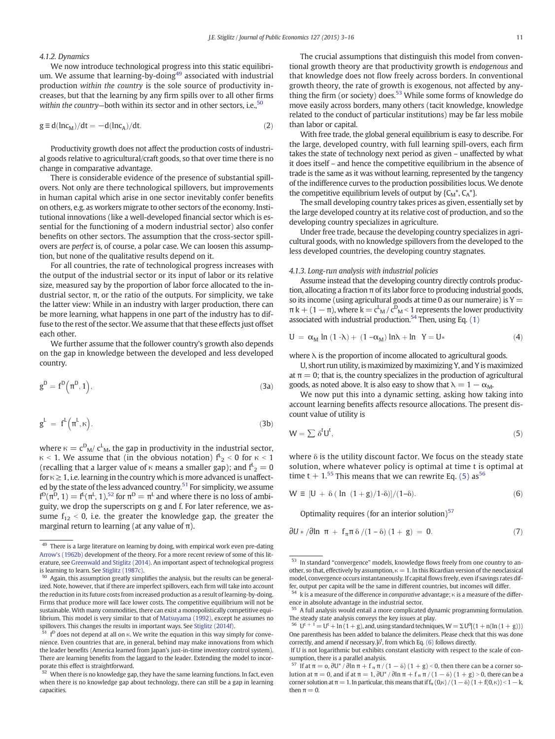# <span id="page-8-0"></span>4.1.2. Dynamics

We now introduce technological progress into this static equilibrium. We assume that learning-by-doing<sup>49</sup> associated with industrial production within the country is the sole source of productivity increases, but that the learning by any firm spills over to all other firms within the country-both within its sector and in other sectors, i.e.,  $50$ 

$$
g \equiv d(\ln c_M)/dt = -d(\ln c_A)/dt. \tag{2}
$$

Productivity growth does not affect the production costs of industrial goods relative to agricultural/craft goods, so that over time there is no change in comparative advantage.

There is considerable evidence of the presence of substantial spillovers. Not only are there technological spillovers, but improvements in human capital which arise in one sector inevitably confer benefits on others, e.g. as workers migrate to other sectors of the economy. Institutional innovations (like a well-developed financial sector which is essential for the functioning of a modern industrial sector) also confer benefits on other sectors. The assumption that the cross-sector spillovers are perfect is, of course, a polar case. We can loosen this assumption, but none of the qualitative results depend on it.

For all countries, the rate of technological progress increases with the output of the industrial sector or its input of labor or its relative size, measured say by the proportion of labor force allocated to the industrial sector, π, or the ratio of the outputs. For simplicity, we take the latter view: While in an industry with larger production, there can be more learning, what happens in one part of the industry has to diffuse to the rest of the sector.We assume that that these effects just offset each other.

We further assume that the follower country's growth also depends on the gap in knowledge between the developed and less developed country.

$$
g^D = f^D(\pi^D, 1),\tag{3a}
$$

$$
g^L = f^L(\pi^L, \kappa). \tag{3b}
$$

where  $\kappa = c_{\rm M}^{\rm D} / c_{\rm M}^{\rm L}$ , the gap in productivity in the industrial sector,  $\kappa$  < 1. We assume that (in the obvious notation)  $f_{2}^{L}$  < 0 for  $\kappa$  < 1 (recalling that a larger value of  $\kappa$  means a smaller gap); and  $f^L{}_2=0$ for  $\kappa \geq 1$ , i.e. learning in the country which is more advanced is unaffected by the state of the less advanced country.<sup>51</sup> For simplicity, we assume  $f^{D}(\pi^{D}, 1) = f^{L}(\pi^{L}, 1),$ <sup>52</sup> for  $\pi^{D} = \pi^{L}$  and where there is no loss of ambiguity, we drop the superscripts on g and f. For later reference, we assume  $f_{12}$  < 0, i.e. the greater the knowledge gap, the greater the marginal return to learning (at any value of  $\pi$ ).

The crucial assumptions that distinguish this model from conventional growth theory are that productivity growth is endogenous and that knowledge does not flow freely across borders. In conventional growth theory, the rate of growth is exogenous, not affected by anything the firm (or society) does.<sup>53</sup> While some forms of knowledge do move easily across borders, many others (tacit knowledge, knowledge related to the conduct of particular institutions) may be far less mobile than labor or capital.

With free trade, the global general equilibrium is easy to describe. For the large, developed country, with full learning spill-overs, each firm takes the state of technology next period as given – unaffected by what it does itself – and hence the competitive equilibrium in the absence of trade is the same as it was without learning, represented by the tangency of the indifference curves to the production possibilities locus. We denote the competitive equilibrium levels of output by  ${C_M}^*$ ,  ${C_A}^*$ .

The small developing country takes prices as given, essentially set by the large developed country at its relative cost of production, and so the developing country specializes in agriculture.

Under free trade, because the developing country specializes in agricultural goods, with no knowledge spillovers from the developed to the less developed countries, the developing country stagnates.

#### 4.1.3. Long-run analysis with industrial policies

Assume instead that the developing country directly controls production, allocating a fraction π of its labor force to producing industrial goods, so its income (using agricultural goods at time 0 as our numeraire) is  $Y =$  $\pi$  k + (1 –  $\pi$ ), where k = c<sup>L</sup><sub>M</sub> / c<sup>D</sup><sub>M</sub> < 1 represents the lower productivity associated with industrial production.<sup>54</sup> Then, using Eq.  $(1)$ 

$$
U = \alpha_M \ln (1 - \lambda) + (1 - \alpha_M) \ln \lambda + \ln Y = U^* \tag{4}
$$

where  $\lambda$  is the proportion of income allocated to agricultural goods.

U, short run utility, is maximized by maximizing Y, and Y is maximized at  $\pi = 0$ ; that is, the country specializes in the production of agricultural goods, as noted above. It is also easy to show that  $\lambda = 1 - \alpha_M$ .

We now put this into a dynamic setting, asking how taking into account learning benefits affects resource allocations. The present discount value of utility is

$$
W = \sum \delta^t U^t,\tag{5}
$$

where δ is the utility discount factor. We focus on the steady state solution, where whatever policy is optimal at time t is optimal at time t +  $1.55$  This means that we can rewrite Eq. (5) as<sup>56</sup>

$$
W \equiv [U + \delta ( \ln (1+g)/1-\delta)]/(1-\delta). \tag{6}
$$

Optimality requires (for an interior solution) $57$ 

$$
\frac{\partial U \ast}{\partial \ln \pi} + f_{\pi} \pi \delta / (1 - \delta) (1 + g) = 0. \tag{7}
$$

<sup>49</sup> There is a large literature on learning by doing, with empirical work even pre-dating [Arrow's \(1962b\)](#page-12-0) development of the theory. For a more recent review of some of this literature, see [Greenwald and Stiglitz \(2014\).](#page-12-0) An important aspect of technological progress is learning to learn. See [Stiglitz \(1987c\).](#page-13-0)

<sup>&</sup>lt;sup>50</sup> Again, this assumption greatly simplifies the analysis, but the results can be generalized. Note, however, that if there are imperfect spillovers, each firm will take into account the reduction in its future costs from increased production as a result of learning-by-doing. Firms that produce more will face lower costs. The competitive equilibrium will not be sustainable. With many commodities, there can exist a monopolistically competitive equilibrium. This model is very similar to that of [Matsuyama \(1992\),](#page-12-0) except he assumes no

spillovers. This changes the results in important ways. See [Stiglitz \(2014f\)](#page-13-0).  $^{51}$  f<sup>b</sup> does not depend at all on  $\kappa$ . We write the equation in this way sin  $f<sup>D</sup>$  does not depend at all on  $\kappa$ . We write the equation in this way simply for convenience. Even countries that are, in general, behind may make innovations from which the leader benefits (America learned from Japan's just-in-time inventory control system). There are learning benefits from the laggard to the leader. Extending the model to incorporate this effect is straightforward.<br><sup>52</sup> When there is no knowledge gap, they have the same learning functions. In fact, even

when there is no knowledge gap about technology, there can still be a gap in learning capacities.

<sup>53</sup> In standard "convergence" models, knowledge flows freely from one country to another, so that, effectively by assumption,  $\kappa = 1$ . In this Ricardian version of the neoclassical model, convergence occurs instantaneously. If capital flows freely, even if savings rates differ, output per capita will be the same in different countries, but incomes will differ.

k is a measure of the difference in *comparative* advantage; κ is a measure of the difference in absolute advantage in the industrial sector.

<sup>55</sup> A full analysis would entail a more complicated dynamic programming formulation. The steady state analysis conveys the key issues at play.

<sup>&</sup>lt;sup>56</sup> U<sup>t + 1</sup> = U<sup>t</sup> + ln (1 + g), and, using standard techniques,  $W = \Sigma U^0[(1 + n(ln(1+g))))$ One parenthesis has been added to balance the delimiters. Please check that this was done correctly, and amend if necessary.] δ<sup>t</sup>, from which Eq. (6) follows directly.

If U is not logarithmic but exhibits constant elasticity with respect to the scale of consumption, there is a parallel analysis.

If at  $\pi =$  o,  $\partial U^*$  /  $\partial \ln \pi + f_{\pi} \pi$  / (1 – δ) (1 + g) < 0, then there can be a corner solution at  $\pi = 0$ , and if at  $\pi = 1$ ,  $\partial U^* / \partial \ln \pi + f_\pi \pi / (1 - \delta) (1 + g) > 0$ , there can be a corner solution at  $\pi = 1$ . In particular, this means that if  $f_\pi(0,\kappa)/(1-\delta)(1+f(0,\kappa)) < 1 - k$ , then  $\pi = 0$ .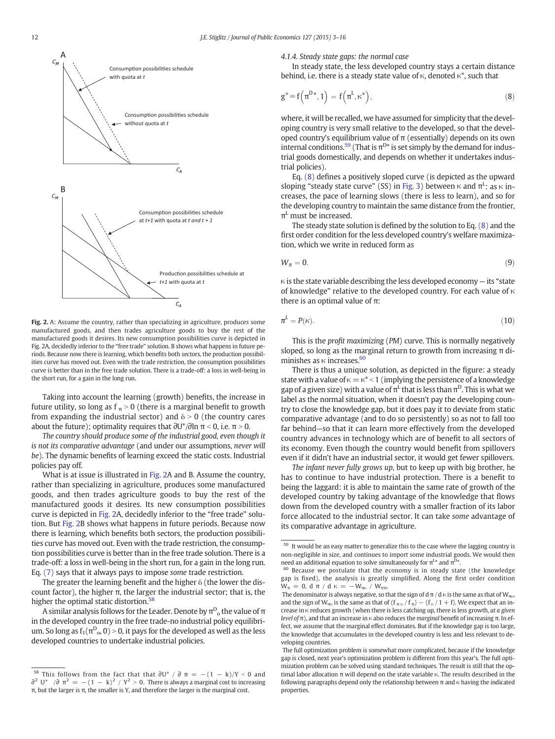<span id="page-9-0"></span>

Fig. 2. A: Assume the country, rather than specializing in agriculture, produces some manufactured goods, and then trades agriculture goods to buy the rest of the manufactured goods it desires. Its new consumption possibilities curve is depicted in Fig. 2A, decidedly inferior to the "free trade" solution. B shows what happens in future periods. Because now there is learning, which benefits both sectors, the production possibilities curve has moved out. Even with the trade restriction, the consumption possibilities curve is better than in the free trade solution. There is a trade-off: a loss in well-being in the short run, for a gain in the long run.

Taking into account the learning (growth) benefits, the increase in future utility, so long as f  $\pi > 0$  (there is a marginal benefit to growth from expanding the industrial sector) and  $\delta > 0$  (the country cares about the future); optimality requires that  $\partial U^* / \partial \ln \pi < 0$ , i.e.  $\pi > 0$ .

The country should produce some of the industrial good, even though it is not its comparative advantage (and under our assumptions, never will be). The dynamic benefits of learning exceed the static costs. Industrial policies pay off.

What is at issue is illustrated in Fig. 2A and B. Assume the country, rather than specializing in agriculture, produces some manufactured goods, and then trades agriculture goods to buy the rest of the manufactured goods it desires. Its new consumption possibilities curve is depicted in Fig. 2A, decidedly inferior to the "free trade" solution. But Fig. 2B shows what happens in future periods. Because now there is learning, which benefits both sectors, the production possibilities curve has moved out. Even with the trade restriction, the consumption possibilities curve is better than in the free trade solution. There is a trade-off: a loss in well-being in the short run, for a gain in the long run. Eq. [\(7\)](#page-8-0) says that it always pays to impose some trade restriction.

The greater the learning benefit and the higher  $\delta$  (the lower the discount factor), the higher π, the larger the industrial sector; that is, the higher the optimal static distortion.<sup>58</sup>

A similar analysis follows for the Leader. Denote by  $\pi^{\text{\tiny D}}_{\,\mathrm{o}}$  the value of π in the developed country in the free trade-no industrial policy equilibrium. So long as  $f_1(\pi^D_{\;\;o},0)$  > 0, it pays for the developed as well as the less developed countries to undertake industrial policies.

#### 4.1.4. Steady state gaps: the normal case

In steady state, the less developed country stays a certain distance behind, i.e. there is a steady state value of  $\kappa$ , denoted  $\kappa^*$ , such that

$$
g^* = f\left(\pi^{D*}, 1\right) = f\left(\pi^L, \kappa^*\right),\tag{8}
$$

where, it will be recalled, we have assumed for simplicity that the developing country is very small relative to the developed, so that the developed country's equilibrium value of π (essentially) depends on its own internal conditions.<sup>59</sup> (That is  $\pi^{D*}$  is set simply by the demand for industrial goods domestically, and depends on whether it undertakes industrial policies).

Eq. (8) defines a positively sloped curve (is depicted as the upward sloping "steady state curve" (SS) in [Fig. 3](#page-10-0)) between  $\kappa$  and  $\pi^L$ : as  $\kappa$  increases, the pace of learning slows (there is less to learn), and so for the developing country to maintain the same distance from the frontier,  $π<sup>L</sup>$  must be increased.

The steady state solution is defined by the solution to Eq. (8) and the first order condition for the less developed country's welfare maximization, which we write in reduced form as

$$
W_{\pi} = 0. \tag{9}
$$

 $\kappa$  is the state variable describing the less developed economy  $-$  its "state of knowledge" relative to the developed country. For each value of κ there is an optimal value of π:

$$
\pi^L = P(\kappa). \tag{10}
$$

This is the profit maximizing (PM) curve. This is normally negatively sloped, so long as the marginal return to growth from increasing π diminishes as  $\kappa$  increases.<sup>60</sup>

There is thus a unique solution, as depicted in the figure: a steady state with a value of  $\kappa = \kappa^*$  < 1 (implying the persistence of a knowledge gap of a given size) with a value of  $\pi^L$  that is less than  $\pi^D$ . This is what we label as the normal situation, when it doesn't pay the developing country to close the knowledge gap, but it does pay it to deviate from static comparative advantage (and to do so persistently) so as not to fall too far behind—so that it can learn more effectively from the developed country advances in technology which are of benefit to all sectors of its economy. Even though the country would benefit from spillovers even if it didn't have an industrial sector, it would get fewer spillovers.

The infant never fully grows up, but to keep up with big brother, he has to continue to have industrial protection. There is a benefit to being the laggard: it is able to maintain the same rate of growth of the developed country by taking advantage of the knowledge that flows down from the developed country with a smaller fraction of its labor force allocated to the industrial sector. It can take some advantage of its comparative advantage in agriculture.

<sup>&</sup>lt;sup>58</sup> This follows from the fact that that  $\partial U^*$  /  $\partial \pi = -(1 - k)/Y < 0$  and  $\partial^2 U^*$  / $\partial \pi^2 = -(1 - k)^2 / Y^2 > 0$ . There is always a marginal cost to increasing π, but the larger is π, the smaller is Y, and therefore the larger is the marginal cost.

 $59$  It would be an easy matter to generalize this to the case where the lagging country is non-negligible in size, and continues to import some industrial goods. We would then need an additional equation to solve simultaneously for  $\pi^{L*}$  and  $\pi^{D*}$ .

 $60$  Because we postulate that the economy is in steady state (the knowledge gap is fixed), the analysis is greatly simplified. Along the first order condition  $W_{\pi} = 0$ , d π / d κ =  $-W_{\pi\kappa}$  /  $W_{\pi\pi}$ .

The denominator is always negative, so that the sign of d  $\pi$  / d  $\kappa$  is the same as that of  $W_{\pi\kappa}$ and the sign of  $W_{\pi K}$  is the same as that of  $(f_{\pi K}/f_{\pi}) - (f_K/1 + f)$ . We expect that an increase in κ reduces growth (when there is less catching up, there is less growth, at a given level of π), and that an increase in  $κ$  also reduces the marginal benefit of increasing π. In effect, we assume that the marginal effect dominates. But if the knowledge gap is too large, the knowledge that accumulates in the developed country is less and less relevant to developing countries.

The full optimization problem is somewhat more complicated, because if the knowledge gap is closed, next year's optimization problem is different from this year's. The full optimization problem can be solved using standard techniques. The result is still that the optimal labor allocation π will depend on the state variable κ. The results described in the following paragraphs depend only the relationship between π and κ having the indicated properties.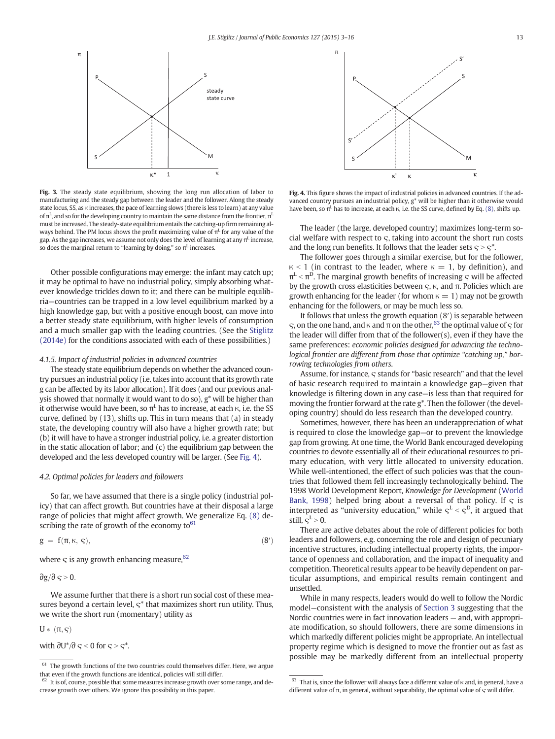<span id="page-10-0"></span>

Fig. 3. The steady state equilibrium, showing the long run allocation of labor to manufacturing and the steady gap between the leader and the follower. Along the steady state locus, SS, as κ increases, the pace of learning slows (there is less to learn) at any value of π<sup>L</sup>, and so for the developing country to maintain the same distance from the frontier, π<sup>L</sup> must be increased. The steady-state equilibrium entails the catching-up firm remaining always behind. The PM locus shows the profit maximizing value of  $\pi^L$  for any value of the gap. As the gap increases, we assume not only does the level of learning at any  $\pi^L$  increase, so does the marginal return to "learning by doing," so  $\pi$ <sup>L</sup> increases.

Other possible configurations may emerge: the infant may catch up; it may be optimal to have no industrial policy, simply absorbing whatever knowledge trickles down to it; and there can be multiple equilibria—countries can be trapped in a low level equilibrium marked by a high knowledge gap, but with a positive enough boost, can move into a better steady state equilibrium, with higher levels of consumption and a much smaller gap with the leading countries. (See the [Stiglitz](#page-13-0) [\(2014e\)](#page-13-0) for the conditions associated with each of these possibilities.)

# 4.1.5. Impact of industrial policies in advanced countries

The steady state equilibrium depends on whether the advanced country pursues an industrial policy (i.e. takes into account that its growth rate g can be affected by its labor allocation). If it does (and our previous analysis showed that normally it would want to do so), g\* will be higher than it otherwise would have been, so  $\pi^L$  has to increase, at each  $\kappa$ , i.e. the SS curve, defined by (13), shifts up. This in turn means that (a) in steady state, the developing country will also have a higher growth rate; but (b) it will have to have a stronger industrial policy, i.e. a greater distortion in the static allocation of labor; and (c) the equilibrium gap between the developed and the less developed country will be larger. (See Fig. 4).

# 4.2. Optimal policies for leaders and followers

So far, we have assumed that there is a single policy (industrial policy) that can affect growth. But countries have at their disposal a large range of policies that might affect growth. We generalize Eq. [\(8\)](#page-9-0) describing the rate of growth of the economy to $61$ 

$$
g = f(\pi, \kappa, \varsigma), \tag{8'}
$$

where  $\varsigma$  is any growth enhancing measure, <sup>62</sup>

$$
\partial g/\partial \varsigma > 0.
$$

We assume further that there is a short run social cost of these measures beyond a certain level,  $\varsigma^*$  that maximizes short run utility. Thus, we write the short run (momentary) utility as

 $U * (\pi, \varsigma)$ 

with  $\partial U^*/\partial \varsigma \leq 0$  for  $\varsigma > \varsigma^*$ .



Fig. 4. This figure shows the impact of industrial policies in advanced countries. If the advanced country pursues an industrial policy, g\* will be higher than it otherwise would have been, so  $\pi^L$  has to increase, at each  $\kappa$ , i.e. the SS curve, defined by Eq. [\(8\),](#page-9-0) shifts up.

The leader (the large, developed country) maximizes long-term social welfare with respect to  $\varsigma$ , taking into account the short run costs and the long run benefits. It follows that the leader sets  $\varsigma > \varsigma^*$ .

The follower goes through a similar exercise, but for the follower,  $\kappa$  < 1 (in contrast to the leader, where  $\kappa = 1$ , by definition), and  $π<sup>L</sup> < π<sup>D</sup>$ . The marginal growth benefits of increasing  $\varsigma$  will be affected by the growth cross elasticities between ς, κ, and π. Policies which are growth enhancing for the leader (for whom  $\kappa = 1$ ) may not be growth enhancing for the followers, or may be much less so.

It follows that unless the growth equation (8′) is separable between ς, on the one hand, and κ and π on the other,  $63$  the optimal value of ς for the leader will differ from that of the follower(s), even if they have the same preferences: economic policies designed for advancing the technological frontier are different from those that optimize "catching up," borrowing technologies from others.

Assume, for instance, ς stands for "basic research" and that the level of basic research required to maintain a knowledge gap—given that knowledge is filtering down in any case—is less than that required for moving the frontier forward at the rate g\*. Then the follower (the developing country) should do less research than the developed country.

Sometimes, however, there has been an underappreciation of what is required to close the knowledge gap—or to prevent the knowledge gap from growing. At one time, the World Bank encouraged developing countries to devote essentially all of their educational resources to primary education, with very little allocated to university education. While well-intentioned, the effect of such policies was that the countries that followed them fell increasingly technologically behind. The 1998 World Development Report, Knowledge for Development ([World](#page-13-0) [Bank, 1998](#page-13-0)) helped bring about a reversal of that policy. If  $\varsigma$  is interpreted as "university education," while  $S^L \le S^D$ , it argued that still,  $\varsigma^L > 0$ .

There are active debates about the role of different policies for both leaders and followers, e.g. concerning the role and design of pecuniary incentive structures, including intellectual property rights, the importance of openness and collaboration, and the impact of inequality and competition. Theoretical results appear to be heavily dependent on particular assumptions, and empirical results remain contingent and unsettled.

While in many respects, leaders would do well to follow the Nordic model—consistent with the analysis of [Section 3](#page-5-0) suggesting that the Nordic countries were in fact innovation leaders — and, with appropriate modification, so should followers, there are some dimensions in which markedly different policies might be appropriate. An intellectual property regime which is designed to move the frontier out as fast as possible may be markedly different from an intellectual property

 $61$  The growth functions of the two countries could themselves differ. Here, we argue that even if the growth functions are identical, policies will still differ.

 $62$  It is of, course, possible that some measures increase growth over some range, and decrease growth over others. We ignore this possibility in this paper.

<sup>&</sup>lt;sup>63</sup> That is, since the follower will always face a different value of  $\kappa$  and, in general, have a different value of π, in general, without separability, the optimal value of  $\varsigma$  will differ.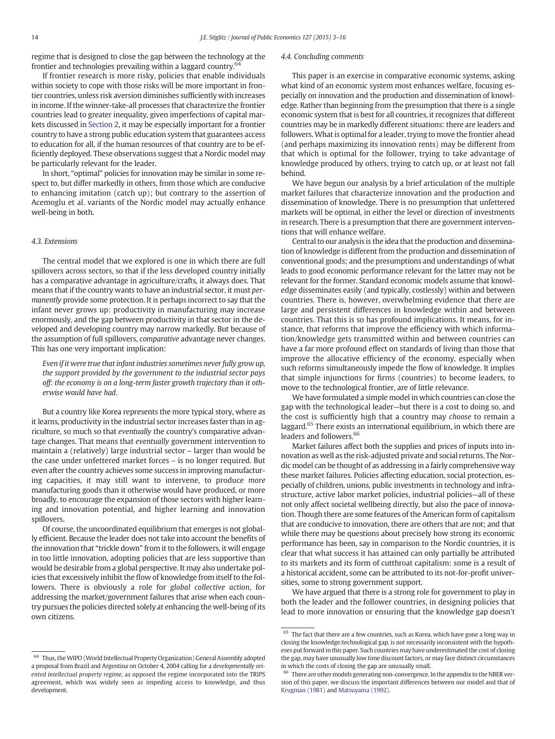regime that is designed to close the gap between the technology at the frontier and technologies prevailing within a laggard country.<sup>64</sup>

If frontier research is more risky, policies that enable individuals within society to cope with those risks will be more important in frontier countries, unless risk aversion diminishes sufficiently with increases in income. If the winner-take-all processes that characterize the frontier countries lead to greater inequality, given imperfections of capital markets discussed in [Section 2](#page-1-0), it may be especially important for a frontier country to have a strong public education system that guarantees access to education for all, if the human resources of that country are to be efficiently deployed. These observations suggest that a Nordic model may be particularly relevant for the leader.

In short, "optimal" policies for innovation may be similar in some respect to, but differ markedly in others, from those which are conducive to enhancing imitation (catch up); but contrary to the assertion of Acemoglu et al. variants of the Nordic model may actually enhance well-being in both.

# 4.3. Extensions

The central model that we explored is one in which there are full spillovers across sectors, so that if the less developed country initially has a comparative advantage in agriculture/crafts, it always does. That means that if the country wants to have an industrial sector, it must permanently provide some protection. It is perhaps incorrect to say that the infant never grows up: productivity in manufacturing may increase enormously, and the gap between productivity in that sector in the developed and developing country may narrow markedly. But because of the assumption of full spillovers, comparative advantage never changes. This has one very important implication:

Even if it were true that infant industries sometimes never fully grow up, the support provided by the government to the industrial sector pays off: the economy is on a long-term faster growth trajectory than it otherwise would have had.

But a country like Korea represents the more typical story, where as it learns, productivity in the industrial sector increases faster than in agriculture, so much so that eventually the country's comparative advantage changes. That means that eventually government intervention to maintain a (relatively) large industrial sector – larger than would be the case under unfettered market forces – is no longer required. But even after the country achieves some success in improving manufacturing capacities, it may still want to intervene, to produce more manufacturing goods than it otherwise would have produced, or more broadly, to encourage the expansion of those sectors with higher learning and innovation potential, and higher learning and innovation spillovers.

Of course, the uncoordinated equilibrium that emerges is not globally efficient. Because the leader does not take into account the benefits of the innovation that "trickle down" from it to the followers, it will engage in too little innovation, adopting policies that are less supportive than would be desirable from a global perspective. It may also undertake policies that excessively inhibit the flow of knowledge from itself to the followers. There is obviously a role for global collective action, for addressing the market/government failures that arise when each country pursues the policies directed solely at enhancing the well-being of its own citizens.

# 4.4. Concluding comments

This paper is an exercise in comparative economic systems, asking what kind of an economic system most enhances welfare, focusing especially on innovation and the production and dissemination of knowledge. Rather than beginning from the presumption that there is a single economic system that is best for all countries, it recognizes that different countries may be in markedly different situations: there are leaders and followers.What is optimal for a leader, trying to move the frontier ahead (and perhaps maximizing its innovation rents) may be different from that which is optimal for the follower, trying to take advantage of knowledge produced by others, trying to catch up, or at least not fall behind.

We have begun our analysis by a brief articulation of the multiple market failures that characterize innovation and the production and dissemination of knowledge. There is no presumption that unfettered markets will be optimal, in either the level or direction of investments in research. There is a presumption that there are government interventions that will enhance welfare.

Central to our analysis is the idea that the production and dissemination of knowledge is different from the production and dissemination of conventional goods; and the presumptions and understandings of what leads to good economic performance relevant for the latter may not be relevant for the former. Standard economic models assume that knowledge disseminates easily (and typically, costlessly) within and between countries. There is, however, overwhelming evidence that there are large and persistent differences in knowledge within and between countries. That this is so has profound implications. It means, for instance, that reforms that improve the efficiency with which information/knowledge gets transmitted within and between countries can have a far more profound effect on standards of living than those that improve the allocative efficiency of the economy, especially when such reforms simultaneously impede the flow of knowledge. It implies that simple injunctions for firms (countries) to become leaders, to move to the technological frontier, are of little relevance.

We have formulated a simple model in which countries can close the gap with the technological leader—but there is a cost to doing so, and the cost is sufficiently high that a country may choose to remain a laggard.<sup>65</sup> There exists an international equilibrium, in which there are leaders and followers.<sup>66</sup>

Market failures affect both the supplies and prices of inputs into innovation as well as the risk-adjusted private and social returns. The Nordic model can be thought of as addressing in a fairly comprehensive way these market failures. Policies affecting education, social protection, especially of children, unions, public investments in technology and infrastructure, active labor market policies, industrial policies—all of these not only affect societal wellbeing directly, but also the pace of innovation. Though there are some features of the American form of capitalism that are conducive to innovation, there are others that are not; and that while there may be questions about precisely how strong its economic performance has been, say in comparison to the Nordic countries, it is clear that what success it has attained can only partially be attributed to its markets and its form of cutthroat capitalism: some is a result of a historical accident, some can be attributed to its not-for-profit universities, some to strong government support.

We have argued that there is a strong role for government to play in both the leader and the follower countries, in designing policies that lead to more innovation or ensuring that the knowledge gap doesn't

<sup>&</sup>lt;sup>64</sup> Thus, the WIPO (World Intellectual Property Organization) General Assembly adopted a proposal from Brazil and Argentina on October 4, 2004 calling for a developmentally oriented intellectual property regime, as opposed the regime incorporated into the TRIPS agreement, which was widely seen as impeding access to knowledge, and thus development.

 $65$  The fact that there are a few countries, such as Korea, which have gone a long way in closing the knowledge/technological gap, is not necessarily inconsistent with the hypotheses put forward in this paper. Such countries may have underestimated the cost of closing the gap, may have unusually low time discount factors, or may face distinct circumstances in which the costs of closing the gap are unusually small.

<sup>&</sup>lt;sup>66</sup> There are other models generating non-convergence. In the appendix to the NBER version of this paper, we discuss the important differences between our model and that of [Krugman \(1981\)](#page-12-0) and [Matsuyama \(1992\).](#page-12-0)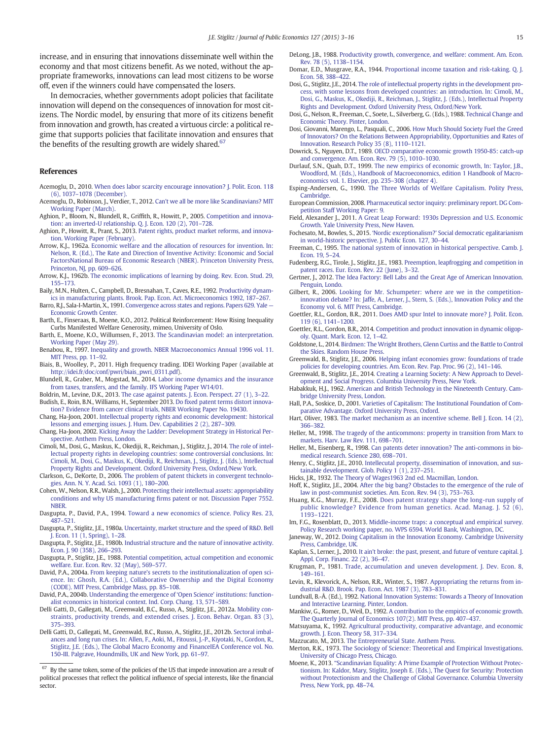<span id="page-12-0"></span>increase, and in ensuring that innovations disseminate well within the economy and that most citizens benefit. As we noted, without the appropriate frameworks, innovations can lead most citizens to be worse off, even if the winners could have compensated the losers.

In democracies, whether governments adopt policies that facilitate innovation will depend on the consequences of innovation for most citizens. The Nordic model, by ensuring that more of its citizens benefit from innovation and growth, has created a virtuous circle: a political regime that supports policies that facilitate innovation and ensures that the benefits of the resulting growth are widely shared.<sup>67</sup>

## References

- Acemoglu, D., 2010. [When does labor scarcity encourage innovation? J. Polit. Econ. 118](http://refhub.elsevier.com/S0047-2727(14)00198-4/rf0460) (6), 1037–[1078 \(December\).](http://refhub.elsevier.com/S0047-2727(14)00198-4/rf0460)
- Acemoglu, D., Robinson, J., Verdier, T., 2012. [Can't we all be more like Scandinavians? MIT](http://refhub.elsevier.com/S0047-2727(14)00198-4/rf0320) [Working Paper \(March\).](http://refhub.elsevier.com/S0047-2727(14)00198-4/rf0320)
- Aghion, P., Bloom, N., Blundell, R., Griffith, R., Howitt, P., 2005. [Competition and innova](http://refhub.elsevier.com/S0047-2727(14)00198-4/rf0325)[tion: an inverted-U relationship. Q. J. Econ. 120 \(2\), 701](http://refhub.elsevier.com/S0047-2727(14)00198-4/rf0325)–728.
- Aghion, P., Howitt, R., Prant, S., 2013. [Patent rights, product market reforms, and innova](http://refhub.elsevier.com/S0047-2727(14)00198-4/rf0465)[tion. Working Paper \(February\)](http://refhub.elsevier.com/S0047-2727(14)00198-4/rf0465).
- Arrow, K.J., 1962a. [Economic welfare and the allocation of resources for invention. In:](http://refhub.elsevier.com/S0047-2727(14)00198-4/rf0480) [Nelson, R. \(Ed.\), The Rate and Direction of Inventive Activity: Economic and Social](http://refhub.elsevier.com/S0047-2727(14)00198-4/rf0480) [FactorsNational Bureau of Economic Research \(NBER\). Princeton University Press,](http://refhub.elsevier.com/S0047-2727(14)00198-4/rf0480) [Princeton, NJ, pp. 609](http://refhub.elsevier.com/S0047-2727(14)00198-4/rf0480)–626.
- Arrow, K.J., 1962b. [The economic implications of learning by doing. Rev. Econ. Stud. 29,](http://refhub.elsevier.com/S0047-2727(14)00198-4/rf0485) [155](http://refhub.elsevier.com/S0047-2727(14)00198-4/rf0485)–173.
- Baily, M.N., Hulten, C., Campbell, D., Bresnahan, T., Caves, R.E., 1992. [Productivity dynam](http://refhub.elsevier.com/S0047-2727(14)00198-4/rf0340)[ics in manufacturing plants. Brook. Pap. Econ. Act. Microeconomics 1992, 187](http://refhub.elsevier.com/S0047-2727(14)00198-4/rf0340)–267.
- Barro, R.J., Sala-I-Martin, X., 1991. [Convergence across states and regions. Papers 629. Yale](http://refhub.elsevier.com/S0047-2727(14)00198-4/rf0490) [Economic Growth Center.](http://refhub.elsevier.com/S0047-2727(14)00198-4/rf0490)
- Barth, E., Finseraas, B., Moene, K.O., 2012. Political Reinforcement: How Rising Inequality Curbs Manifested Welfare Generosity, mimeo, University of Oslo.
- Barth, E., Moene, K.O., Willumsen, F., 2013. [The Scandinavian model: an interpretation.](http://refhub.elsevier.com/S0047-2727(14)00198-4/rf0495) [Working Paper \(May 29\)](http://refhub.elsevier.com/S0047-2727(14)00198-4/rf0495).
- Benabou, R., 1997. [Inequality and growth. NBER Macroeconomics Annual 1996 vol. 11.](http://refhub.elsevier.com/S0047-2727(14)00198-4/rf0500) [MIT Press, pp. 11](http://refhub.elsevier.com/S0047-2727(14)00198-4/rf0500)–92.
- Biais, B., Woolley, P., 2011. High frequency trading. IDEI Working Paper (available at [http://idei.fr/doc/conf/pwri/biais\\_pwri\\_0311.pdf\)](http://idei.fr/doc/conf/pwri/biais_pwri_0311.pdf).
- Blundell, R., Graber, M., Mogstad, M., 2014. [Labor income dynamics and the insurance](http://refhub.elsevier.com/S0047-2727(14)00198-4/rf0510) [from taxes, transfers, and the family. IFS Working Paper W14/01](http://refhub.elsevier.com/S0047-2727(14)00198-4/rf0510).
- Boldrin, M., Levine, D.K., 2013. [The case against patents. J. Econ. Perspect. 27 \(1\), 3](http://refhub.elsevier.com/S0047-2727(14)00198-4/rf0375)–22.
- Budish, E., Roin, B.N., Williams, H., September 2013. Do fi[xed patent terms distort innova](http://refhub.elsevier.com/S0047-2727(14)00198-4/rf2000)[tion? Evidence from cancer clinical trials, NBER Working Paper No. 19430](http://refhub.elsevier.com/S0047-2727(14)00198-4/rf2000).
- Chang, Ha-Joon, 2001. [Intellectual property rights and economic development: historical](http://refhub.elsevier.com/S0047-2727(14)00198-4/rf0380) [lessons and emerging issues. J. Hum. Dev. Capabilities 2 \(2\), 287](http://refhub.elsevier.com/S0047-2727(14)00198-4/rf0380)–309.
- Chang, Ha-Joon, 2002. [Kicking Away the Ladder: Development Strategy in Historical Per](http://refhub.elsevier.com/S0047-2727(14)00198-4/rf0385)[spective. Anthem Press, London.](http://refhub.elsevier.com/S0047-2727(14)00198-4/rf0385)
- Cimoli, M., Dosi, G., Maskus, K., Okediji, R., Reichman, J., Stiglitz, J., 2014. [The role of intel](http://refhub.elsevier.com/S0047-2727(14)00198-4/rf0515)[lectual property rights in developing countries: some controversial conclusions. In:](http://refhub.elsevier.com/S0047-2727(14)00198-4/rf0515) [Cimoli, M., Dosi, G., Maskus, K., Okediji, R., Reichman, J., Stiglitz, J. \(Eds.\), Intellectual](http://refhub.elsevier.com/S0047-2727(14)00198-4/rf0515) [Property Rights and Development. Oxford University Press, Oxford/New York](http://refhub.elsevier.com/S0047-2727(14)00198-4/rf0515).
- Clarkson, G., DeKorte, D., 2006. [The problem of patent thickets in convergent technolo](http://refhub.elsevier.com/S0047-2727(14)00198-4/rf0390)[gies. Ann. N. Y. Acad. Sci. 1093 \(1\), 180](http://refhub.elsevier.com/S0047-2727(14)00198-4/rf0390)–200.
- Cohen, W., Nelson, R.R., Walsh, J., 2000. [Protecting their intellectual assets: appropriability](http://refhub.elsevier.com/S0047-2727(14)00198-4/rf0520) conditions and why US manufacturing fi[rms patent or not. Discussion Paper 7552.](http://refhub.elsevier.com/S0047-2727(14)00198-4/rf0520) [NBER](http://refhub.elsevier.com/S0047-2727(14)00198-4/rf0520).
- Dasgupta, P., David, P.A., 1994. [Toward a new economics of science. Policy Res. 23,](http://refhub.elsevier.com/S0047-2727(14)00198-4/rf0395) [487](http://refhub.elsevier.com/S0047-2727(14)00198-4/rf0395)–521.
- Dasgupta, P., Stiglitz, J.E., 1980a. [Uncertainty, market structure and the speed of R&D. Bell](http://refhub.elsevier.com/S0047-2727(14)00198-4/rf0525) [J. Econ. 11 \(1, Spring\), 1](http://refhub.elsevier.com/S0047-2727(14)00198-4/rf0525)–28.
- Dasgupta, P., Stiglitz, J.E., 1980b. [Industrial structure and the nature of innovative activity.](http://refhub.elsevier.com/S0047-2727(14)00198-4/rf0530) [Econ. J. 90 \(358\), 266](http://refhub.elsevier.com/S0047-2727(14)00198-4/rf0530)–293.
- Dasgupta, P., Stiglitz, J.E., 1988. [Potential competition, actual competition and economic](http://refhub.elsevier.com/S0047-2727(14)00198-4/rf0535) [welfare. Eur. Econ. Rev. 32 \(May\), 569](http://refhub.elsevier.com/S0047-2727(14)00198-4/rf0535)–577.
- David, P.A., 2004a. [From keeping nature's secrets to the institutionalization of open sci](http://refhub.elsevier.com/S0047-2727(14)00198-4/rf0410)[ence. In: Ghosh, R.A. \(Ed.\), Collaborative Ownership and the Digital Economy](http://refhub.elsevier.com/S0047-2727(14)00198-4/rf0410) [\(CODE\). MIT Press, Cambridge Mass, pp. 85](http://refhub.elsevier.com/S0047-2727(14)00198-4/rf0410)–108.
- David, P.A., 2004b. [Understanding the emergence of](http://refhub.elsevier.com/S0047-2727(14)00198-4/rf0540) 'Open Science' institutions: function[alist economics in historical context. Ind. Corp. Chang. 13, 571](http://refhub.elsevier.com/S0047-2727(14)00198-4/rf0540)–589.
- Delli Gatti, D., Gallegati, M., Greenwald, B.C., Russo, A., Stiglitz, J.E., 2012a. [Mobility con](http://refhub.elsevier.com/S0047-2727(14)00198-4/rf0420)[straints, productivity trends, and extended crises. J. Econ. Behav. Organ. 83 \(3\),](http://refhub.elsevier.com/S0047-2727(14)00198-4/rf0420) [375](http://refhub.elsevier.com/S0047-2727(14)00198-4/rf0420)–393.
- Delli Gatti, D., Gallegati, M., Greenwald, B.C., Russo, A., Stiglitz, J.E., 2012b. [Sectoral imbal](http://refhub.elsevier.com/S0047-2727(14)00198-4/rf0545)[ances and long run crises. In: Allen, F., Aoki, M., Fitoussi, J.-P., Kiyotaki, N., Gordon, R.,](http://refhub.elsevier.com/S0047-2727(14)00198-4/rf0545) [Stiglitz, J.E. \(Eds.\), The Global Macro Economy and FinanceIEA Conference vol. No.](http://refhub.elsevier.com/S0047-2727(14)00198-4/rf0545) [150-III. Palgrave, Houndmills, UK and New York, pp. 61](http://refhub.elsevier.com/S0047-2727(14)00198-4/rf0545)–97.

DeLong, J.B., 1988. [Productivity growth, convergence, and welfare: comment. Am. Econ.](http://refhub.elsevier.com/S0047-2727(14)00198-4/rf0425) [Rev. 78 \(5\), 1138](http://refhub.elsevier.com/S0047-2727(14)00198-4/rf0425)–1154.

- Domar, E.D., Musgrave, R.A., 1944. [Proportional income taxation and risk-taking. Q. J.](http://refhub.elsevier.com/S0047-2727(14)00198-4/rf0430) [Econ. 58, 388](http://refhub.elsevier.com/S0047-2727(14)00198-4/rf0430)–422.
- Dosi, G., Stiglitz, J.E., 2014. [The role of intellectual property rights in the development pro](http://refhub.elsevier.com/S0047-2727(14)00198-4/rf0445)[cess, with some lessons from developed countries: an introduction. In: Cimoli, M.,](http://refhub.elsevier.com/S0047-2727(14)00198-4/rf0445) [Dosi, G., Maskus, K., Okediji, R., Reichman, J., Stiglitz, J. \(Eds.\), Intellectual Property](http://refhub.elsevier.com/S0047-2727(14)00198-4/rf0445) [Rights and Development. Oxford University Press, Oxford/New York](http://refhub.elsevier.com/S0047-2727(14)00198-4/rf0445).
- Dosi, G., Nelson, R., Freeman, C., Soete, L., Silverberg, G. (Eds.), 1988. [Technical Change and](http://refhub.elsevier.com/S0047-2727(14)00198-4/rf0550) [Economic Theory. Pinter, London](http://refhub.elsevier.com/S0047-2727(14)00198-4/rf0550).
- Dosi, Giovanni, Marengo, L., Pasquali, C., 2006. [How Much Should Society Fuel the Greed](http://refhub.elsevier.com/S0047-2727(14)00198-4/rf2005) [of Innovators? On the Relations Between Appropriability, Opportunities and Rates of](http://refhub.elsevier.com/S0047-2727(14)00198-4/rf2005) [Innovation. Research Policy 35 \(8\), 1110](http://refhub.elsevier.com/S0047-2727(14)00198-4/rf2005)–1121.
- Dowrick, S., Nguyen, D.T., 1989. [OECD comparative economic growth 1950-85: catch-up](http://refhub.elsevier.com/S0047-2727(14)00198-4/rf0450) [and convergence. Am. Econ. Rev. 79 \(5\), 1010](http://refhub.elsevier.com/S0047-2727(14)00198-4/rf0450)–1030.
- Durlauf, S.N., Quah, D.T., 1999. [The new empirics of economic growth, In: Taylor, J.B.,](http://refhub.elsevier.com/S0047-2727(14)00198-4/rf0555) [Woodford, M. \(Eds.\), Handbook of Macroeconomics, edition 1 Handbook of Macro](http://refhub.elsevier.com/S0047-2727(14)00198-4/rf0555)[economics vol. 1. Elsevier, pp. 235](http://refhub.elsevier.com/S0047-2727(14)00198-4/rf0555)–308 (chapter 4).
- Esping-Andersen, G., 1990. [The Three Worlds of Welfare Capitalism. Polity Press,](http://refhub.elsevier.com/S0047-2727(14)00198-4/rf0455) **[Cambridge](http://refhub.elsevier.com/S0047-2727(14)00198-4/rf0455)**.
- European Commission, 2008. [Pharmaceutical sector inquiry: preliminary report. DG Com](http://refhub.elsevier.com/S0047-2727(14)00198-4/rf0560)[petition Staff Working Paper: 9](http://refhub.elsevier.com/S0047-2727(14)00198-4/rf0560).
- Field, Alexander J., 2011. [A Great Leap Forward: 1930s Depression and U.S. Economic](http://refhub.elsevier.com/S0047-2727(14)00198-4/rf0565) [Growth. Yale University Press, New Haven](http://refhub.elsevier.com/S0047-2727(14)00198-4/rf0565).
- Fochesato, M., Bowles, S., 2015. 'Nordic exceptionalism?' [Social democratic egalitarianism](http://refhub.elsevier.com/S0047-2727(14)00198-4/rf0570) [in world-historic perspective. J. Public Econ. 127, 30](http://refhub.elsevier.com/S0047-2727(14)00198-4/rf0570)–44.
- Freeman, C., 1995. [The national system of innovation in historical perspective. Camb. J.](http://refhub.elsevier.com/S0047-2727(14)00198-4/rf0575) [Econ. 19, 5](http://refhub.elsevier.com/S0047-2727(14)00198-4/rf0575)–24.
- Fudenberg, R.G., Tirole, J., Stiglitz, J.E., 1983. [Preemption, leapfrogging and competition in](http://refhub.elsevier.com/S0047-2727(14)00198-4/rf0020) [patent races. Eur. Econ. Rev. 22 \(June\), 3](http://refhub.elsevier.com/S0047-2727(14)00198-4/rf0020)–32.
- Gertner, J., 2012. [The Idea Factory: Bell Labs and the Great Age of American Innovation.](http://refhub.elsevier.com/S0047-2727(14)00198-4/rf0025) [Penguin, Londo](http://refhub.elsevier.com/S0047-2727(14)00198-4/rf0025).
- Gilbert, R., 2006. [Looking for Mr. Schumpeter: where are we in the competition](http://refhub.elsevier.com/S0047-2727(14)00198-4/rf0580)[innovation debate? In: Jaffe, A., Lerner, J., Stern, S. \(Eds.\), Innovation Policy and the](http://refhub.elsevier.com/S0047-2727(14)00198-4/rf0580) [Economy vol. 6. MIT Press, Cambridge.](http://refhub.elsevier.com/S0047-2727(14)00198-4/rf0580)
- Goettler, R.L., Gordon, B.R., 2011. [Does AMD spur Intel to innovate more? J. Polit. Econ.](http://refhub.elsevier.com/S0047-2727(14)00198-4/rf0030) [119 \(6\), 1141](http://refhub.elsevier.com/S0047-2727(14)00198-4/rf0030)–1200.
- Goettler, R.L., Gordon, B.R., 2014. [Competition and product innovation in dynamic oligop](http://refhub.elsevier.com/S0047-2727(14)00198-4/rf0585)[oly. Quant. Mark. Econ. 12, 1](http://refhub.elsevier.com/S0047-2727(14)00198-4/rf0585)–42.
- Goldstone, L., 2014. [Birdmen: The Wright Brothers, Glenn Curtiss and the Battle to Control](http://refhub.elsevier.com/S0047-2727(14)00198-4/rf0040) [the Skies. Random House Press](http://refhub.elsevier.com/S0047-2727(14)00198-4/rf0040).
- Greenwald, B., Stiglitz, J.E., 2006. [Helping infant economies grow: foundations of trade](http://refhub.elsevier.com/S0047-2727(14)00198-4/rf0045) [policies for developing countries. Am. Econ. Rev. Pap. Proc. 96 \(2\), 141](http://refhub.elsevier.com/S0047-2727(14)00198-4/rf0045)–146.
- Greenwald, B., Stiglitz, J.E., 2014. [Creating a Learning Society: A New Approach to Devel](http://refhub.elsevier.com/S0047-2727(14)00198-4/rf0590)[opment and Social Progress. Columbia University Press, New York](http://refhub.elsevier.com/S0047-2727(14)00198-4/rf0590).
- Habakkuk, H.J., 1962. [American and British Technology in the Nineteenth Century. Cam](http://refhub.elsevier.com/S0047-2727(14)00198-4/rf0055)[bridge University Press, London](http://refhub.elsevier.com/S0047-2727(14)00198-4/rf0055).
- Hall, P.A., Soskice, D., 2001. [Varieties of Capitalism: The Institutional Foundation of Com](http://refhub.elsevier.com/S0047-2727(14)00198-4/rf0060)[parative Advantage. Oxford University Press, Oxford](http://refhub.elsevier.com/S0047-2727(14)00198-4/rf0060).
- Hart, Oliver, 1983. [The market mechanism as an incentive scheme. Bell J. Econ. 14 \(2\),](http://refhub.elsevier.com/S0047-2727(14)00198-4/rf0065) [366](http://refhub.elsevier.com/S0047-2727(14)00198-4/rf0065)–382.
- Heller, M., 1998. [The tragedy of the anticommons: property in transition from Marx to](http://refhub.elsevier.com/S0047-2727(14)00198-4/rf0070) [markets. Harv. Law Rev. 111, 698](http://refhub.elsevier.com/S0047-2727(14)00198-4/rf0070)–701.
- Heller, M., Eisenberg, R., 1998. [Can patents deter innovation? The anti-commons in bio](http://refhub.elsevier.com/S0047-2727(14)00198-4/rf0075)[medical research. Science 280, 698](http://refhub.elsevier.com/S0047-2727(14)00198-4/rf0075)–701.
- Henry, C., Stiglitz, J.E., 2010. [Intellecutal property, dissemination of innovation, and sus](http://refhub.elsevier.com/S0047-2727(14)00198-4/rf0080)[tainable development. Glob. Policy 1 \(1\), 237](http://refhub.elsevier.com/S0047-2727(14)00198-4/rf0080)–251.

Hicks, J.R., 1932. [The Theory of Wages1963 2nd ed. Macmillan, London](http://refhub.elsevier.com/S0047-2727(14)00198-4/rf0595).

- Hoff, K., Stiglitz, J.E., 2004. [After the big bang? Obstacles to the emergence of the rule of](http://refhub.elsevier.com/S0047-2727(14)00198-4/rf0090) [law in post-communist societies. Am. Econ. Rev. 94 \(3\), 753](http://refhub.elsevier.com/S0047-2727(14)00198-4/rf0090)–763.
- Huang, K.G., Murray, F.E., 2008. [Does patent strategy shape the long-run supply of](http://refhub.elsevier.com/S0047-2727(14)00198-4/rf0095) [public knowledge? Evidence from human genetics. Acad. Manag. J. 52 \(6\),](http://refhub.elsevier.com/S0047-2727(14)00198-4/rf0095) [1193](http://refhub.elsevier.com/S0047-2727(14)00198-4/rf0095)–1221.
- Im, F.G., Rosenblatt, D., 2013. [Middle-income traps: a conceptual and empirical survey.](http://refhub.elsevier.com/S0047-2727(14)00198-4/rf0600) [Policy Research working paper, no. WPS 6594. World Bank, Washington, DC.](http://refhub.elsevier.com/S0047-2727(14)00198-4/rf0600)
- Janeway, W., 2012. [Doing Capitalism in the Innovation Economy. Cambridge University](http://refhub.elsevier.com/S0047-2727(14)00198-4/rf0105) [Press, Cambridge, UK.](http://refhub.elsevier.com/S0047-2727(14)00198-4/rf0105)
- Kaplan, S., Lerner, J., 2010. [It ain't broke: the past, present, and future of venture capital. J.](http://refhub.elsevier.com/S0047-2727(14)00198-4/rf0110) [Appl. Corp. Financ. 22 \(2\), 36](http://refhub.elsevier.com/S0047-2727(14)00198-4/rf0110)–47.
- Krugman, P., 1981. [Trade, accumulation and uneven development. J. Dev. Econ. 8,](http://refhub.elsevier.com/S0047-2727(14)00198-4/rf0120) [149](http://refhub.elsevier.com/S0047-2727(14)00198-4/rf0120)–161.
- Levin, R., Klevorick, A., Nelson, R.R., Winter, S., 1987. [Appropriating the returns from in](http://refhub.elsevier.com/S0047-2727(14)00198-4/rf0610)[dustrial R&D. Brook. Pap. Econ. Act. 1987 \(3\), 783](http://refhub.elsevier.com/S0047-2727(14)00198-4/rf0610)–831.
- Lundvall, B.-Å. (Ed.), 1992. [National Innovation Systems: Towards a Theory of Innovation](http://refhub.elsevier.com/S0047-2727(14)00198-4/rf0130) [and Interactive Learning. Pinter, London](http://refhub.elsevier.com/S0047-2727(14)00198-4/rf0130).
- Mankiw, G., Romer, D., Weil, D., 1992. [A contribution to the empirics of economic growth.](http://refhub.elsevier.com/S0047-2727(14)00198-4/rf0765) [The Quarterly Journal of Economics 107\(2\). MIT Press, pp. 407](http://refhub.elsevier.com/S0047-2727(14)00198-4/rf0765)–437.
- Matsuyama, K., 1992. [Agricultural productivity, comparative advantage, and economic](http://refhub.elsevier.com/S0047-2727(14)00198-4/rf0140) [growth. J. Econ. Theory 58, 317](http://refhub.elsevier.com/S0047-2727(14)00198-4/rf0140)–334.
- Mazzucato, M., 2013. [The Entrepreneurial State. Anthem Press.](http://refhub.elsevier.com/S0047-2727(14)00198-4/rf0145)
- Merton, R.K., 1973. [The Sociology of Science: Theoretical and Empirical Investigations.](http://refhub.elsevier.com/S0047-2727(14)00198-4/rf0150) [University of Chicago Press, Chicago.](http://refhub.elsevier.com/S0047-2727(14)00198-4/rf0150)
- Moene, K., 2013. "[Scandinavian Equality: A Prime Example of Protection Without Protec](http://refhub.elsevier.com/S0047-2727(14)00198-4/rf2015)[tionism. In: Kaldor, Mary, Stiglitz, Joseph E. \(Eds.\), The Quest for Security: Protection](http://refhub.elsevier.com/S0047-2727(14)00198-4/rf2015) [without Protectionism and the Challenge of Global Governance. Columbia Unversity](http://refhub.elsevier.com/S0047-2727(14)00198-4/rf2015) [Press, New York, pp. 48](http://refhub.elsevier.com/S0047-2727(14)00198-4/rf2015)–74.

<sup>67</sup> By the same token, some of the policies of the US that impede innovation are a result of political processes that reflect the political influence of special interests, like the financial sector.